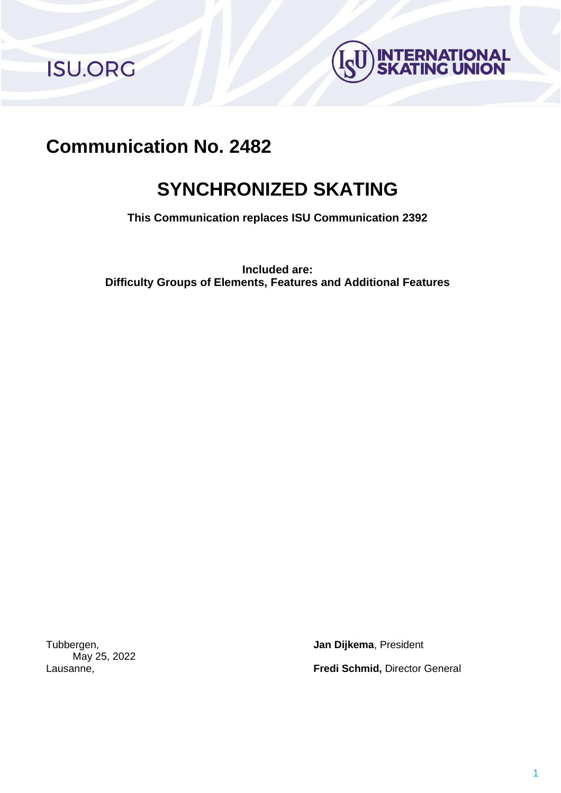**ISU.ORG** 



# **Communication No. 2482**

# **SYNCHRONIZED SKATING**

**This Communication replaces ISU Communication 2392**

**Included are: Difficulty Groups of Elements, Features and Additional Features**

May 25, 2022

Tubbergen, **Jan Dijkema**, President Lausanne, **Fredi Schmid,** Director General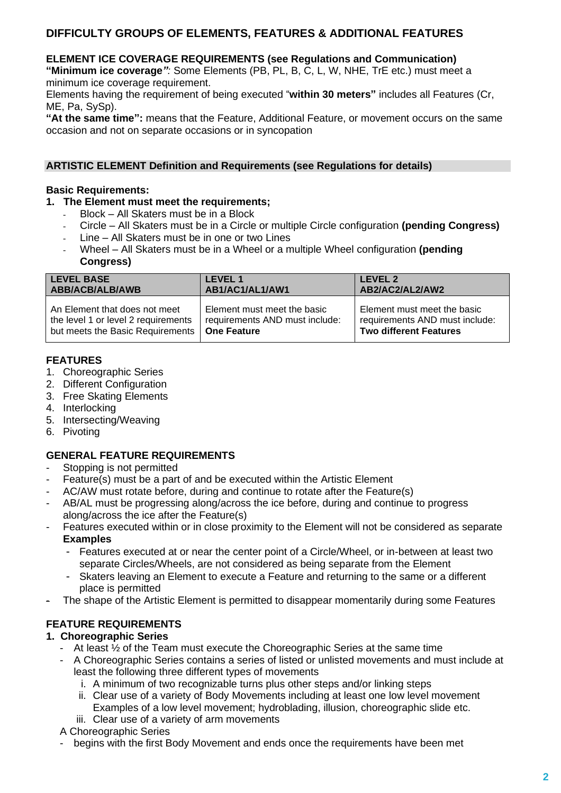# **DIFFICULTY GROUPS OF ELEMENTS, FEATURES & ADDITIONAL FEATURES**

#### **ELEMENT ICE COVERAGE REQUIREMENTS (see Regulations and Communication)**

**"Minimum ice coverage***":* Some Elements (PB, PL, B, C, L, W, NHE, TrE etc.) must meet a minimum ice coverage requirement.

Elements having the requirement of being executed "**within 30 meters"** includes all Features (Cr, ME, Pa, SySp).

**"At the same time":** means that the Feature, Additional Feature, or movement occurs on the same occasion and not on separate occasions or in syncopation

#### **ARTISTIC ELEMENT Definition and Requirements (see Regulations for details)**

#### **Basic Requirements:**

### **1. The Element must meet the requirements;**

- Block All Skaters must be in a Block
- Circle All Skaters must be in a Circle or multiple Circle configuration **(pending Congress)**
- Line All Skaters must be in one or two Lines
- Wheel All Skaters must be in a Wheel or a multiple Wheel configuration (pending **Congress)**

| <b>LEVEL BASE</b>                   | <b>LEVEL 1</b>                 | <b>LEVEL 2</b>                 |
|-------------------------------------|--------------------------------|--------------------------------|
| ABB/ACB/ALB/AWB                     | AB1/AC1/AL1/AW1                | AB2/AC2/AL2/AW2                |
| An Element that does not meet       | Element must meet the basic    | Element must meet the basic    |
| the level 1 or level 2 requirements | requirements AND must include: | requirements AND must include: |
| but meets the Basic Requirements    | <b>One Feature</b>             | <b>Two different Features</b>  |

#### **FEATURES**

- 1. Choreographic Series
- 2. Different Configuration
- 3. Free Skating Elements
- 4. Interlocking
- 5. Intersecting/Weaving
- 6. Pivoting

#### **GENERAL FEATURE REQUIREMENTS**

- Stopping is not permitted
- Feature(s) must be a part of and be executed within the Artistic Element
- AC/AW must rotate before, during and continue to rotate after the Feature(s)
- AB/AL must be progressing along/across the ice before, during and continue to progress along/across the ice after the Feature(s)
- Features executed within or in close proximity to the Element will not be considered as separate **Examples**
	- Features executed at or near the center point of a Circle/Wheel, or in-between at least two separate Circles/Wheels, are not considered as being separate from the Element
	- Skaters leaving an Element to execute a Feature and returning to the same or a different place is permitted
- The shape of the Artistic Element is permitted to disappear momentarily during some Features

### **FEATURE REQUIREMENTS**

#### **1. Choreographic Series**

- At least ½ of the Team must execute the Choreographic Series at the same time
- A Choreographic Series contains a series of listed or unlisted movements and must include at least the following three different types of movements
	- i. A minimum of two recognizable turns plus other steps and/or linking steps
	- ii. Clear use of a variety of Body Movements including at least one low level movement Examples of a low level movement; hydroblading, illusion, choreographic slide etc.
	- iii. Clear use of a variety of arm movements

#### A Choreographic Series

begins with the first Body Movement and ends once the requirements have been met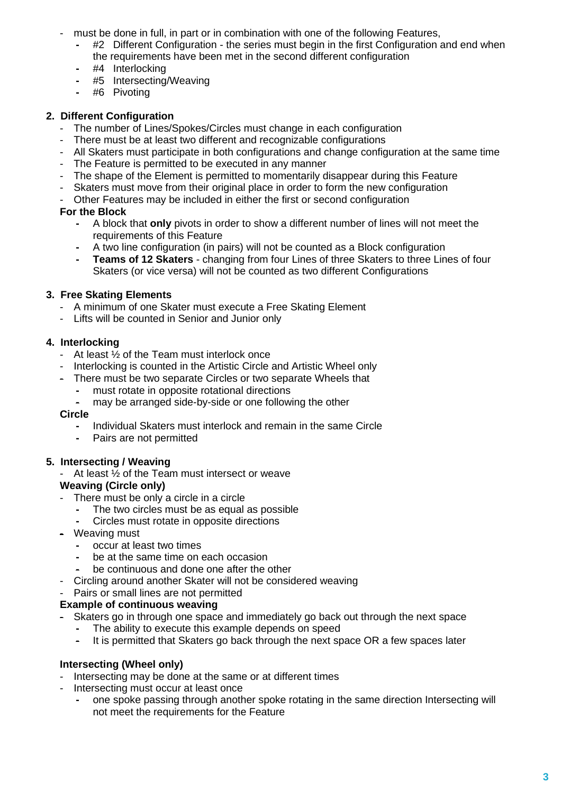- must be done in full, in part or in combination with one of the following Features,
	- **-** #2 Different Configuration the series must begin in the first Configuration and end when the requirements have been met in the second different configuration
	- **-** #4 Interlocking
	- **-** #5 Intersecting/Weaving
	- **-** #6 Pivoting

#### **2. Different Configuration**

- The number of Lines/Spokes/Circles must change in each configuration
- There must be at least two different and recognizable configurations
- All Skaters must participate in both configurations and change configuration at the same time
- The Feature is permitted to be executed in any manner
- The shape of the Element is permitted to momentarily disappear during this Feature
- Skaters must move from their original place in order to form the new configuration
- Other Features may be included in either the first or second configuration

#### **For the Block**

- **-** A block that **only** pivots in order to show a different number of lines will not meet the requirements of this Feature
- **-** A two line configuration (in pairs) will not be counted as a Block configuration
- **- Teams of 12 Skaters** changing from four Lines of three Skaters to three Lines of four Skaters (or vice versa) will not be counted as two different Configurations

#### **3. Free Skating Elements**

- A minimum of one Skater must execute a Free Skating Element
- Lifts will be counted in Senior and Junior only

#### **4. Interlocking**

- At least ½ of the Team must interlock once
- Interlocking is counted in the Artistic Circle and Artistic Wheel only
- There must be two separate Circles or two separate Wheels that
	- **-** must rotate in opposite rotational directions
	- **-** may be arranged side-by-side or one following the other

#### **Circle**

- **-** Individual Skaters must interlock and remain in the same Circle
- **-** Pairs are not permitted

#### **5. Intersecting / Weaving**

- At least  $\frac{1}{2}$  of the Team must intersect or weave **Weaving (Circle only)**

- 
- There must be only a circle in a circle **-** The two circles must be as equal as possible
	- **-** Circles must rotate in opposite directions
- Weaving must
	- **-** occur at least two times
	- **-** be at the same time on each occasion
	- **-** be continuous and done one after the other
- Circling around another Skater will not be considered weaving
- Pairs or small lines are not permitted

#### **Example of continuous weaving**

- Skaters go in through one space and immediately go back out through the next space
	- **-** The ability to execute this example depends on speed
	- **-** It is permitted that Skaters go back through the next space OR a few spaces later

#### **Intersecting (Wheel only)**

- Intersecting may be done at the same or at different times
- Intersecting must occur at least once
	- **-** one spoke passing through another spoke rotating in the same direction Intersecting will not meet the requirements for the Feature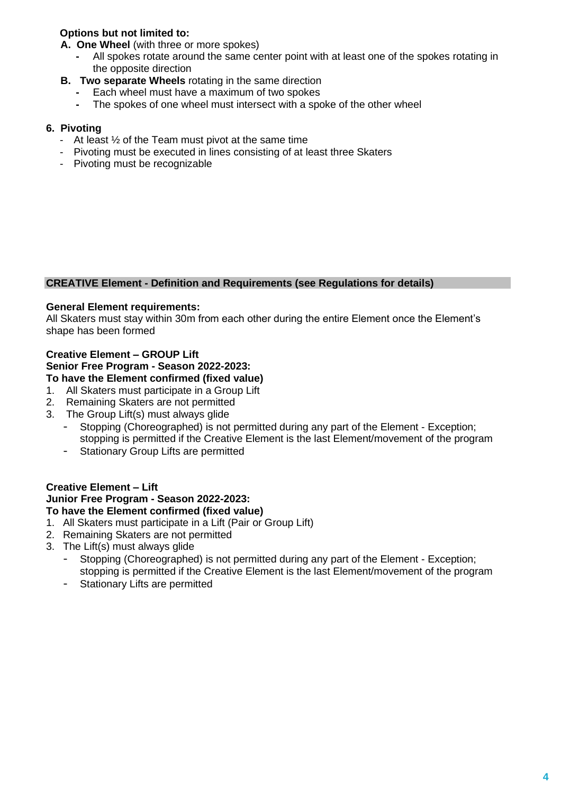# **Options but not limited to:**

 **A. One Wheel** (with three or more spokes)

- **-** All spokes rotate around the same center point with at least one of the spokes rotating in the opposite direction
- **B. Two separate Wheels** rotating in the same direction
	- **-** Each wheel must have a maximum of two spokes
	- **-** The spokes of one wheel must intersect with a spoke of the other wheel

#### **6. Pivoting**

- At least ½ of the Team must pivot at the same time
- Pivoting must be executed in lines consisting of at least three Skaters
- Pivoting must be recognizable

#### **CREATIVE Element - Definition and Requirements (see Regulations for details)**

#### **General Element requirements:**

All Skaters must stay within 30m from each other during the entire Element once the Element's shape has been formed

#### **Creative Element – GROUP Lift Senior Free Program - Season 2022-2023: To have the Element confirmed (fixed value)**

- 1. All Skaters must participate in a Group Lift
- 2. Remaining Skaters are not permitted
- 3. The Group Lift(s) must always glide
	- Stopping (Choreographed) is not permitted during any part of the Element Exception; stopping is permitted if the Creative Element is the last Element/movement of the program
	- Stationary Group Lifts are permitted

#### **Creative Element – Lift Junior Free Program - Season 2022-2023: To have the Element confirmed (fixed value)**

- 1. All Skaters must participate in a Lift (Pair or Group Lift)
- 2. Remaining Skaters are not permitted
- 3. The Lift(s) must always glide
	- Stopping (Choreographed) is not permitted during any part of the Element Exception; stopping is permitted if the Creative Element is the last Element/movement of the program
	- Stationary Lifts are permitted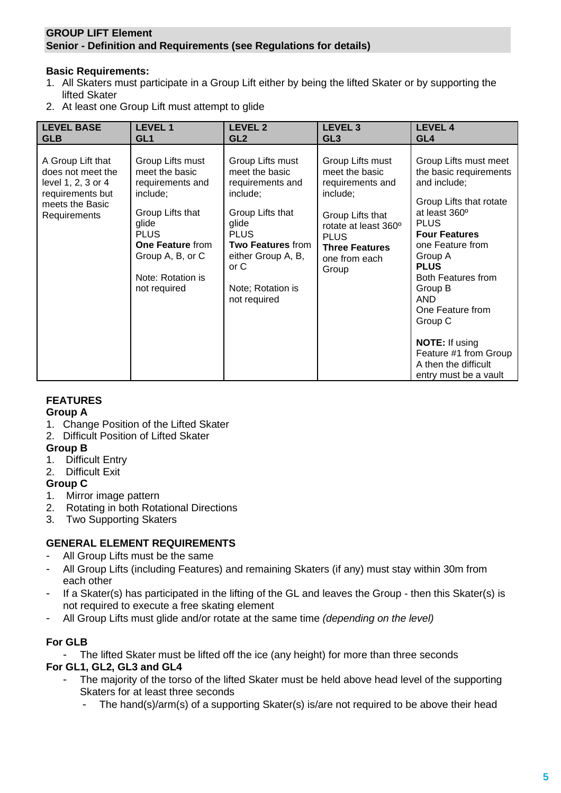#### **GROUP LIFT Element Senior - Definition and Requirements (see Regulations for details)**

#### **Basic Requirements:**

- 1. All Skaters must participate in a Group Lift either by being the lifted Skater or by supporting the lifted Skater
- 2. At least one Group Lift must attempt to glide

| <b>LEVEL BASE</b>                                                                                                   | <b>LEVEL 1</b>                                                                                                                                                                                     | <b>LEVEL 2</b>                                                                                                                                                                                                | LEVEL <sub>3</sub>                                                                                                                                                               | <b>LEVEL 4</b>                                                                                                                                                                                                                                                                                                                                                                    |
|---------------------------------------------------------------------------------------------------------------------|----------------------------------------------------------------------------------------------------------------------------------------------------------------------------------------------------|---------------------------------------------------------------------------------------------------------------------------------------------------------------------------------------------------------------|----------------------------------------------------------------------------------------------------------------------------------------------------------------------------------|-----------------------------------------------------------------------------------------------------------------------------------------------------------------------------------------------------------------------------------------------------------------------------------------------------------------------------------------------------------------------------------|
| <b>GLB</b>                                                                                                          | GL <sub>1</sub>                                                                                                                                                                                    | GL <sub>2</sub>                                                                                                                                                                                               | GL3                                                                                                                                                                              | GL <sub>4</sub>                                                                                                                                                                                                                                                                                                                                                                   |
| A Group Lift that<br>does not meet the<br>level 1, 2, 3 or 4<br>requirements but<br>meets the Basic<br>Requirements | Group Lifts must<br>meet the basic<br>requirements and<br>include;<br>Group Lifts that<br>glide<br><b>PLUS</b><br><b>One Feature from</b><br>Group A, B, or C<br>Note: Rotation is<br>not required | Group Lifts must<br>meet the basic<br>requirements and<br>include;<br>Group Lifts that<br>glide<br><b>PLUS</b><br><b>Two Features from</b><br>either Group A, B,<br>or C<br>Note; Rotation is<br>not required | Group Lifts must<br>meet the basic<br>requirements and<br>include;<br>Group Lifts that<br>rotate at least 360°<br><b>PLUS</b><br><b>Three Features</b><br>one from each<br>Group | Group Lifts must meet<br>the basic requirements<br>and include;<br>Group Lifts that rotate<br>at least 360°<br><b>PLUS</b><br><b>Four Features</b><br>one Feature from<br>Group A<br><b>PLUS</b><br>Both Features from<br>Group B<br><b>AND</b><br>One Feature from<br>Group C<br><b>NOTE:</b> If using<br>Feature #1 from Group<br>A then the difficult<br>entry must be a vault |

# **FEATURES**

#### **Group A**

- 1. Change Position of the Lifted Skater
- 2. Difficult Position of Lifted Skater

#### **Group B**

- 1. Difficult Entry
- 2. Difficult Exit

### **Group C**

- 1. Mirror image pattern
- 2. Rotating in both Rotational Directions
- 3. Two Supporting Skaters

### **GENERAL ELEMENT REQUIREMENTS**

- All Group Lifts must be the same
- All Group Lifts (including Features) and remaining Skaters (if any) must stay within 30m from each other
- If a Skater(s) has participated in the lifting of the GL and leaves the Group then this Skater(s) is not required to execute a free skating element
- All Group Lifts must glide and/or rotate at the same time *(depending on the level)*

### **For GLB**

The lifted Skater must be lifted off the ice (any height) for more than three seconds **For GL1, GL2, GL3 and GL4**

- The majority of the torso of the lifted Skater must be held above head level of the supporting Skaters for at least three seconds
	- The hand(s)/arm(s) of a supporting Skater(s) is/are not required to be above their head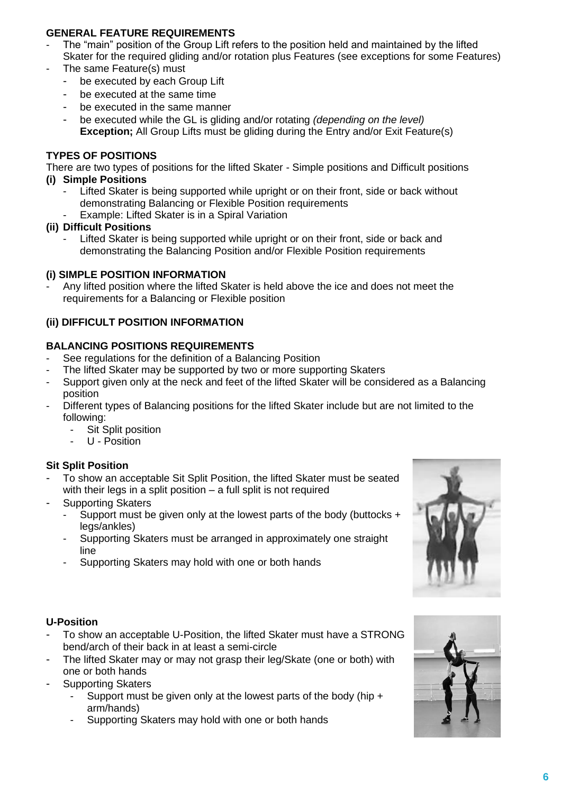### **GENERAL FEATURE REQUIREMENTS**

- The "main" position of the Group Lift refers to the position held and maintained by the lifted Skater for the required gliding and/or rotation plus Features (see exceptions for some Features)
- The same Feature(s) must
	- be executed by each Group Lift
	- be executed at the same time
	- be executed in the same manner
	- be executed while the GL is gliding and/or rotating *(depending on the level)* **Exception;** All Group Lifts must be gliding during the Entry and/or Exit Feature(s)

#### **TYPES OF POSITIONS**

There are two types of positions for the lifted Skater - Simple positions and Difficult positions **(i) Simple Positions**

- Lifted Skater is being supported while upright or on their front, side or back without demonstrating Balancing or Flexible Position requirements
- Example: Lifted Skater is in a Spiral Variation
- **(ii) Difficult Positions**
	- Lifted Skater is being supported while upright or on their front, side or back and demonstrating the Balancing Position and/or Flexible Position requirements

#### **(i) SIMPLE POSITION INFORMATION**

- Any lifted position where the lifted Skater is held above the ice and does not meet the requirements for a Balancing or Flexible position

#### **(ii) DIFFICULT POSITION INFORMATION**

#### **BALANCING POSITIONS REQUIREMENTS**

- See regulations for the definition of a Balancing Position
- The lifted Skater may be supported by two or more supporting Skaters
- Support given only at the neck and feet of the lifted Skater will be considered as a Balancing position
- Different types of Balancing positions for the lifted Skater include but are not limited to the following:
	- Sit Split position
	- U Position

#### **Sit Split Position**

- To show an acceptable Sit Split Position, the lifted Skater must be seated with their legs in a split position – a full split is not required
- Supporting Skaters
	- Support must be given only at the lowest parts of the body (buttocks  $+$ legs/ankles)
	- Supporting Skaters must be arranged in approximately one straight line
	- Supporting Skaters may hold with one or both hands



#### **U-Position**

- To show an acceptable U-Position, the lifted Skater must have a STRONG bend/arch of their back in at least a semi-circle
- The lifted Skater may or may not grasp their leg/Skate (one or both) with one or both hands
- Supporting Skaters
	- Support must be given only at the lowest parts of the body (hip  $+$ arm/hands)
	- Supporting Skaters may hold with one or both hands

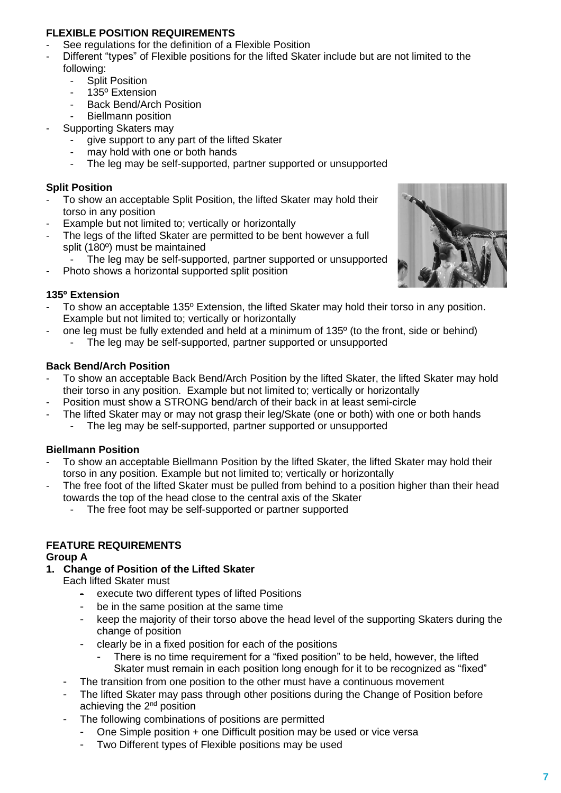### **FLEXIBLE POSITION REQUIREMENTS**

- See regulations for the definition of a Flexible Position
- Different "types" of Flexible positions for the lifted Skater include but are not limited to the following:
	- Split Position
	- 135<sup>°</sup> Extension
	- Back Bend/Arch Position
	- Biellmann position
- Supporting Skaters may
	- give support to any part of the lifted Skater
	- may hold with one or both hands
	- The leg may be self-supported, partner supported or unsupported

#### **Split Position**

- To show an acceptable Split Position, the lifted Skater may hold their torso in any position
- Example but not limited to; vertically or horizontally
- The legs of the lifted Skater are permitted to be bent however a full split (180º) must be maintained
	- The leg may be self-supported, partner supported or unsupported
- Photo shows a horizontal supported split position

#### **135º Extension**

- To show an acceptable 135° Extension, the lifted Skater may hold their torso in any position. Example but not limited to; vertically or horizontally
	- one leg must be fully extended and held at a minimum of 135º (to the front, side or behind) The leg may be self-supported, partner supported or unsupported

#### **Back Bend/Arch Position**

- To show an acceptable Back Bend/Arch Position by the lifted Skater, the lifted Skater may hold their torso in any position. Example but not limited to; vertically or horizontally
- Position must show a STRONG bend/arch of their back in at least semi-circle
- The lifted Skater may or may not grasp their leg/Skate (one or both) with one or both hands The leg may be self-supported, partner supported or unsupported

#### **Biellmann Position**

- To show an acceptable Biellmann Position by the lifted Skater, the lifted Skater may hold their torso in any position. Example but not limited to; vertically or horizontally
- The free foot of the lifted Skater must be pulled from behind to a position higher than their head towards the top of the head close to the central axis of the Skater
	- The free foot may be self-supported or partner supported

### **FEATURE REQUIREMENTS**

### **Group A**

### **1. Change of Position of the Lifted Skater**

Each lifted Skater must

- execute two different types of lifted Positions
- be in the same position at the same time
- keep the majority of their torso above the head level of the supporting Skaters during the change of position
- clearly be in a fixed position for each of the positions
	- There is no time requirement for a "fixed position" to be held, however, the lifted Skater must remain in each position long enough for it to be recognized as "fixed"
- The transition from one position to the other must have a continuous movement
- The lifted Skater may pass through other positions during the Change of Position before achieving the 2nd position
- The following combinations of positions are permitted
	- One Simple position + one Difficult position may be used or vice versa
	- Two Different types of Flexible positions may be used

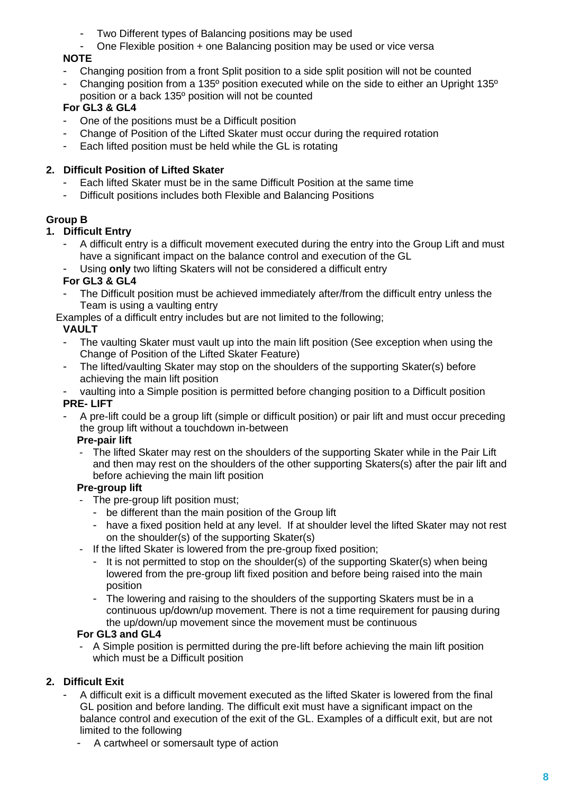- Two Different types of Balancing positions may be used
- One Flexible position + one Balancing position may be used or vice versa

# **NOTE**

- Changing position from a front Split position to a side split position will not be counted
- Changing position from a 135<sup>°</sup> position executed while on the side to either an Upright 135<sup>°</sup>
- position or a back 135º position will not be counted

# **For GL3 & GL4**

- One of the positions must be a Difficult position
- Change of Position of the Lifted Skater must occur during the required rotation
- Each lifted position must be held while the GL is rotating

# **2. Difficult Position of Lifted Skater**

- Each lifted Skater must be in the same Difficult Position at the same time
- Difficult positions includes both Flexible and Balancing Positions

# **Group B**

# **1. Difficult Entry**

- A difficult entry is a difficult movement executed during the entry into the Group Lift and must have a significant impact on the balance control and execution of the GL
- Using **only** two lifting Skaters will not be considered a difficult entry

# **For GL3 & GL4**

The Difficult position must be achieved immediately after/from the difficult entry unless the Team is using a vaulting entry

Examples of a difficult entry includes but are not limited to the following;

# **VAULT**

- The vaulting Skater must vault up into the main lift position (See exception when using the Change of Position of the Lifted Skater Feature)
- The lifted/vaulting Skater may stop on the shoulders of the supporting Skater(s) before achieving the main lift position
- vaulting into a Simple position is permitted before changing position to a Difficult position **PRE- LIFT**
- A pre-lift could be a group lift (simple or difficult position) or pair lift and must occur preceding the group lift without a touchdown in-between

# **Pre-pair lift**

- The lifted Skater may rest on the shoulders of the supporting Skater while in the Pair Lift and then may rest on the shoulders of the other supporting Skaters(s) after the pair lift and before achieving the main lift position

# **Pre-group lift**

- The pre-group lift position must;
	- be different than the main position of the Group lift
	- have a fixed position held at any level. If at shoulder level the lifted Skater may not rest on the shoulder(s) of the supporting Skater(s)
- If the lifted Skater is lowered from the pre-group fixed position;
	- It is not permitted to stop on the shoulder(s) of the supporting Skater(s) when being lowered from the pre-group lift fixed position and before being raised into the main position
	- The lowering and raising to the shoulders of the supporting Skaters must be in a continuous up/down/up movement. There is not a time requirement for pausing during the up/down/up movement since the movement must be continuous

# **For GL3 and GL4**

- A Simple position is permitted during the pre-lift before achieving the main lift position which must be a Difficult position

# **2. Difficult Exit**

- A difficult exit is a difficult movement executed as the lifted Skater is lowered from the final GL position and before landing. The difficult exit must have a significant impact on the balance control and execution of the exit of the GL. Examples of a difficult exit, but are not limited to the following
	- A cartwheel or somersault type of action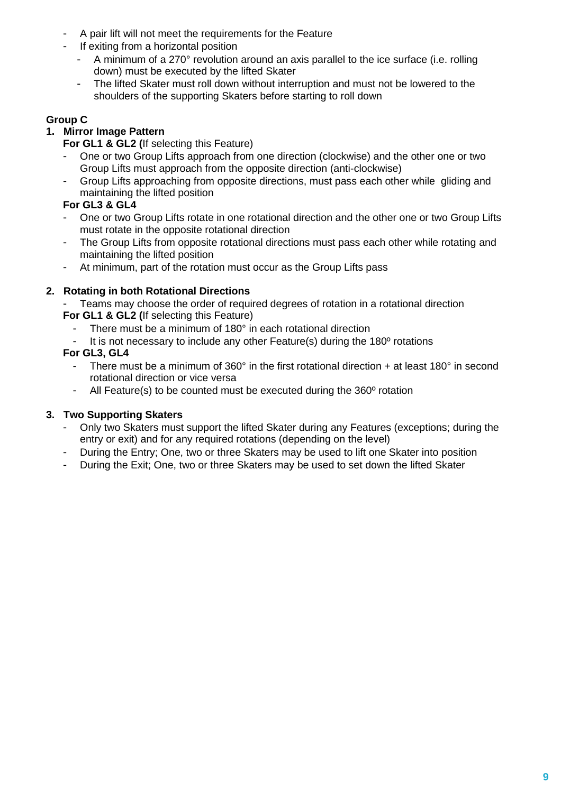- A pair lift will not meet the requirements for the Feature
- If exiting from a horizontal position
	- A minimum of a 270° revolution around an axis parallel to the ice surface (i.e. rolling down) must be executed by the lifted Skater
	- The lifted Skater must roll down without interruption and must not be lowered to the shoulders of the supporting Skaters before starting to roll down

# **Group C**

# **1. Mirror Image Pattern**

- **For GL1 & GL2 (**If selecting this Feature)
- One or two Group Lifts approach from one direction (clockwise) and the other one or two Group Lifts must approach from the opposite direction (anti-clockwise)
- Group Lifts approaching from opposite directions, must pass each other while gliding and maintaining the lifted position

# **For GL3 & GL4**

- One or two Group Lifts rotate in one rotational direction and the other one or two Group Lifts must rotate in the opposite rotational direction
- The Group Lifts from opposite rotational directions must pass each other while rotating and maintaining the lifted position
- At minimum, part of the rotation must occur as the Group Lifts pass

# **2. Rotating in both Rotational Directions**

- Teams may choose the order of required degrees of rotation in a rotational direction **For GL1 & GL2 (**If selecting this Feature)
	- There must be a minimum of 180° in each rotational direction
	- It is not necessary to include any other Feature(s) during the 180<sup>°</sup> rotations

### **For GL3, GL4**

- There must be a minimum of 360 $^{\circ}$  in the first rotational direction + at least 180 $^{\circ}$  in second rotational direction or vice versa
- All Feature(s) to be counted must be executed during the 360<sup>°</sup> rotation

### **3. Two Supporting Skaters**

- Only two Skaters must support the lifted Skater during any Features (exceptions; during the entry or exit) and for any required rotations (depending on the level)
- During the Entry; One, two or three Skaters may be used to lift one Skater into position
- During the Exit; One, two or three Skaters may be used to set down the lifted Skater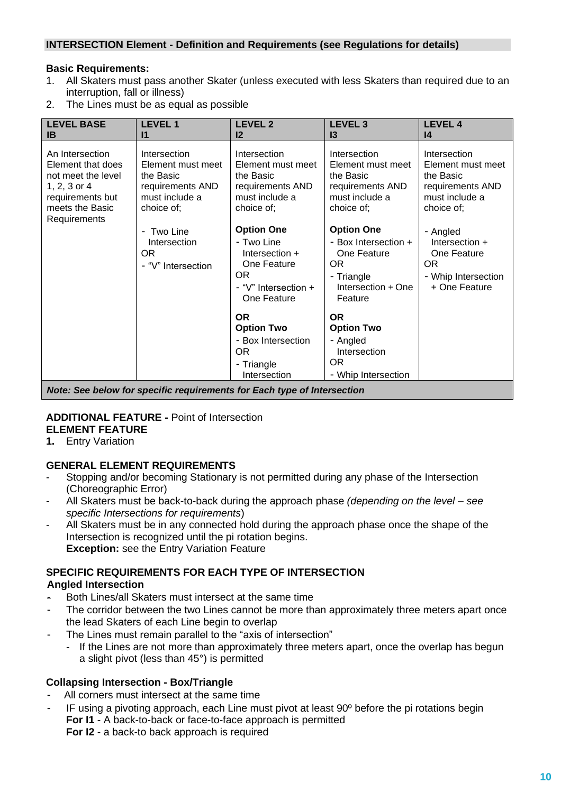### **INTERSECTION Element - Definition and Requirements (see Regulations for details)**

#### **Basic Requirements:**

- 1. All Skaters must pass another Skater (unless executed with less Skaters than required due to an interruption, fall or illness)
- 2. The Lines must be as equal as possible

| <b>LEVEL BASE</b><br>IB.                                                                                                          | <b>LEVEL 1</b><br>$\mathsf{I}$                                                                     | <b>LEVEL 2</b><br>$12 \,$                                                                                        | <b>LEVEL 3</b><br>13                                                                                           | <b>LEVEL 4</b><br>$\mathsf{I}4$                                                                    |
|-----------------------------------------------------------------------------------------------------------------------------------|----------------------------------------------------------------------------------------------------|------------------------------------------------------------------------------------------------------------------|----------------------------------------------------------------------------------------------------------------|----------------------------------------------------------------------------------------------------|
| An Intersection<br>Element that does<br>not meet the level<br>1, 2, 3 or 4<br>requirements but<br>meets the Basic<br>Requirements | Intersection<br>Element must meet<br>the Basic<br>requirements AND<br>must include a<br>choice of: | Intersection<br>Element must meet<br>the Basic<br>requirements AND<br>must include a<br>choice of;               | Intersection<br>Element must meet<br>the Basic<br>requirements AND<br>must include a<br>choice of;             | Intersection<br>Element must meet<br>the Basic<br>requirements AND<br>must include a<br>choice of: |
|                                                                                                                                   | - Two Line<br>Intersection<br>OR.<br>- "V" Intersection                                            | <b>Option One</b><br>- Two Line<br>Intersection $+$<br>One Feature<br>OR.<br>- "V" Intersection +<br>One Feature | <b>Option One</b><br>- Box Intersection +<br>One Feature<br>OR.<br>- Triangle<br>Intersection + One<br>Feature | - Angled<br>Intersection +<br>One Feature<br>OR.<br>- Whip Intersection<br>+ One Feature           |
|                                                                                                                                   |                                                                                                    | <b>OR</b><br><b>Option Two</b><br>- Box Intersection<br>OR.<br>- Triangle<br>Intersection                        | <b>OR</b><br><b>Option Two</b><br>- Angled<br>Intersection<br>OR.<br>- Whip Intersection                       |                                                                                                    |
|                                                                                                                                   | Nator Can halaw far angeifig requirements for Each type of Interpretion                            |                                                                                                                  |                                                                                                                |                                                                                                    |

*Note: See below for specific requirements for Each type of Intersection*

#### **ADDITIONAL FEATURE -** Point of Intersection **ELEMENT FEATURE**

**1.** Entry Variation

# **GENERAL ELEMENT REQUIREMENTS**

- Stopping and/or becoming Stationary is not permitted during any phase of the Intersection (Choreographic Error)
- All Skaters must be back-to-back during the approach phase *(depending on the level – see specific Intersections for requirements*)
- All Skaters must be in any connected hold during the approach phase once the shape of the Intersection is recognized until the pi rotation begins. **Exception:** see the Entry Variation Feature

# **SPECIFIC REQUIREMENTS FOR EACH TYPE OF INTERSECTION**

#### **Angled Intersection**

- Both Lines/all Skaters must intersect at the same time
- The corridor between the two Lines cannot be more than approximately three meters apart once the lead Skaters of each Line begin to overlap
- The Lines must remain parallel to the "axis of intersection"
	- If the Lines are not more than approximately three meters apart, once the overlap has begun a slight pivot (less than 45°) is permitted

### **Collapsing Intersection - Box/Triangle**

- All corners must intersect at the same time
- IF using a pivoting approach, each Line must pivot at least 90<sup>°</sup> before the pi rotations begin **For I1** - A back-to-back or face-to-face approach is permitted
	- **For I2** a back-to back approach is required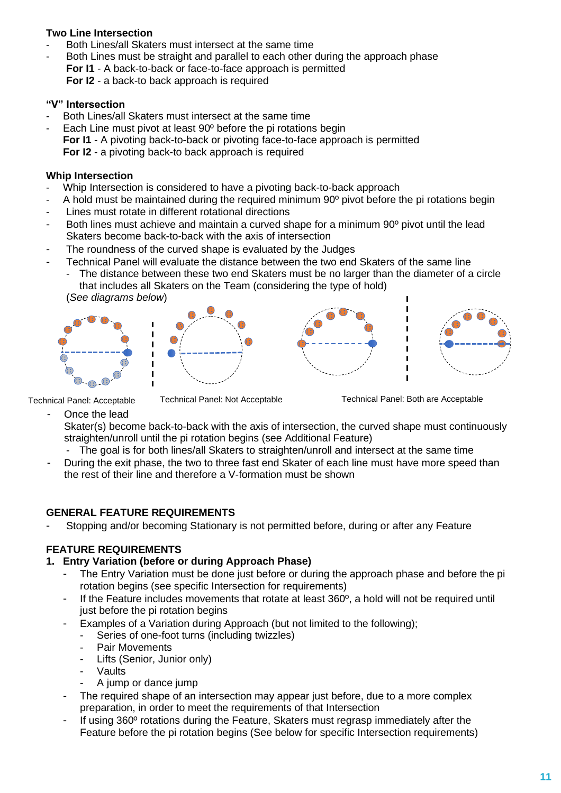### **Two Line Intersection**

- Both Lines/all Skaters must intersect at the same time
- Both Lines must be straight and parallel to each other during the approach phase **For I1** - A back-to-back or face-to-face approach is permitted **For I2** - a back-to back approach is required

#### **"V" Intersection**

- Both Lines/all Skaters must intersect at the same time
- Each Line must pivot at least 90° before the pi rotations begin **For I1** - A pivoting back-to-back or pivoting face-to-face approach is permitted **For I2** - a pivoting back-to back approach is required

#### **Whip Intersection**

- Whip Intersection is considered to have a pivoting back-to-back approach
- A hold must be maintained during the required minimum 90° pivot before the pi rotations begin
- Lines must rotate in different rotational directions
- Both lines must achieve and maintain a curved shape for a minimum 90<sup>°</sup> pivot until the lead Skaters become back-to-back with the axis of intersection
- The roundness of the curved shape is evaluated by the Judges
- Technical Panel will evaluate the distance between the two end Skaters of the same line
	- The distance between these two end Skaters must be no larger than the diameter of a circle that includes all Skaters on the Team (considering the type of hold)











Technical Panel: Acceptable Technical Panel: Not Acceptable Technical Panel: Both are Acceptable

Once the lead

Skater(s) become back-to-back with the axis of intersection, the curved shape must continuously straighten/unroll until the pi rotation begins (see Additional Feature)

- The goal is for both lines/all Skaters to straighten/unroll and intersect at the same time
- During the exit phase, the two to three fast end Skater of each line must have more speed than the rest of their line and therefore a V-formation must be shown

### **GENERAL FEATURE REQUIREMENTS**

Stopping and/or becoming Stationary is not permitted before, during or after any Feature

# **FEATURE REQUIREMENTS**

### **1. Entry Variation (before or during Approach Phase)**

- The Entry Variation must be done just before or during the approach phase and before the pi rotation begins (see specific Intersection for requirements)
- If the Feature includes movements that rotate at least 360º, a hold will not be required until just before the pi rotation begins
	- Examples of a Variation during Approach (but not limited to the following);
		- Series of one-foot turns (including twizzles)
		- Pair Movements
		- Lifts (Senior, Junior only)
		- **Vaults**
		- A jump or dance jump
- The required shape of an intersection may appear just before, due to a more complex preparation, in order to meet the requirements of that Intersection
- If using 360º rotations during the Feature, Skaters must regrasp immediately after the Feature before the pi rotation begins (See below for specific Intersection requirements)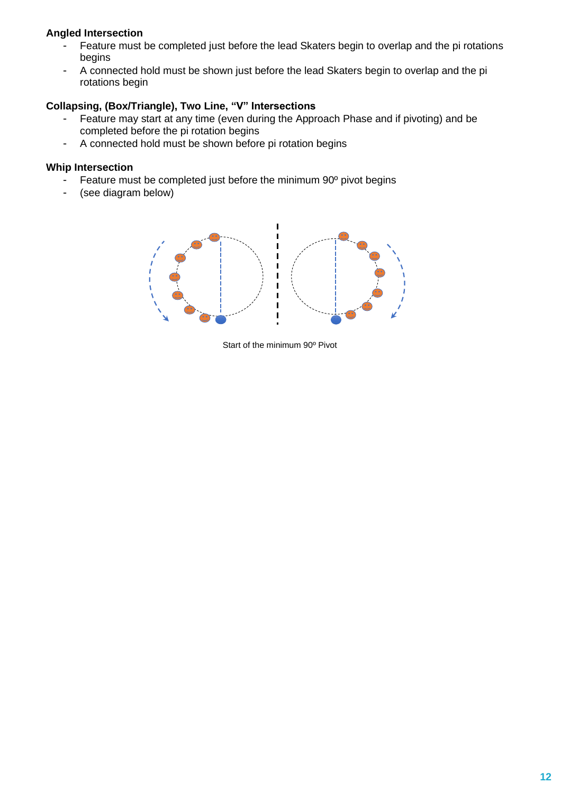### **Angled Intersection**

- Feature must be completed just before the lead Skaters begin to overlap and the pi rotations begins
- A connected hold must be shown just before the lead Skaters begin to overlap and the pi rotations begin

### **Collapsing, (Box/Triangle), Two Line, "V" Intersections**

- Feature may start at any time (even during the Approach Phase and if pivoting) and be completed before the pi rotation begins
- A connected hold must be shown before pi rotation begins

#### **Whip Intersection**

- Feature must be completed just before the minimum 90<sup>°</sup> pivot begins
- (see diagram below)



Start of the minimum 90º Pivot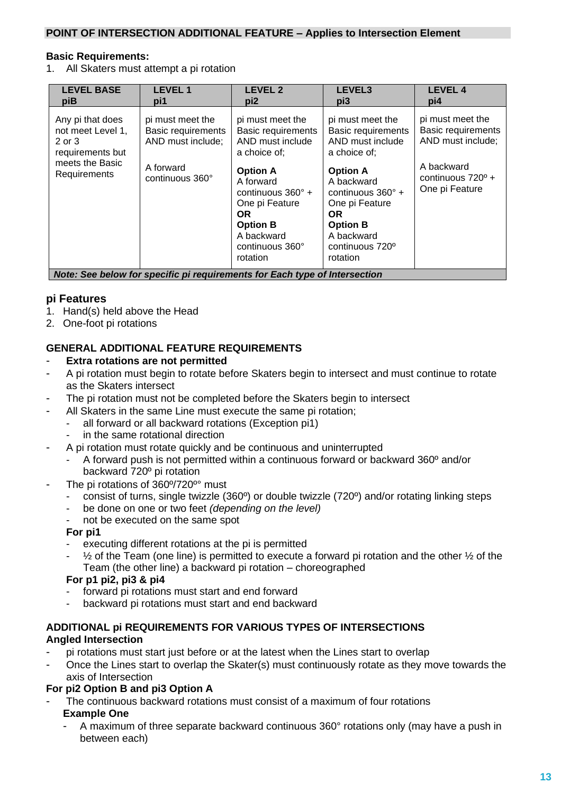#### **POINT OF INTERSECTION ADDITIONAL FEATURE – Applies to Intersection Element**

#### **Basic Requirements:**

1. All Skaters must attempt a pi rotation

| <b>LEVEL BASE</b><br>piB                                                                               | <b>LEVEL1</b><br>pi1                                                                               | <b>LEVEL 2</b><br>pi <sub>2</sub>                                                                                                                                                                                                      | LEVEL3<br>pi3                                                                                                                                                                                                                           | <b>LEVEL 4</b><br>pi4                                                                                                   |
|--------------------------------------------------------------------------------------------------------|----------------------------------------------------------------------------------------------------|----------------------------------------------------------------------------------------------------------------------------------------------------------------------------------------------------------------------------------------|-----------------------------------------------------------------------------------------------------------------------------------------------------------------------------------------------------------------------------------------|-------------------------------------------------------------------------------------------------------------------------|
| Any pi that does<br>not meet Level 1,<br>2 or 3<br>requirements but<br>meets the Basic<br>Requirements | pi must meet the<br><b>Basic requirements</b><br>AND must include;<br>A forward<br>continuous 360° | pi must meet the<br><b>Basic requirements</b><br>AND must include<br>a choice of;<br><b>Option A</b><br>A forward<br>continuous $360^\circ$ +<br>One pi Feature<br>OR.<br><b>Option B</b><br>A backward<br>continuous 360°<br>rotation | pi must meet the<br><b>Basic requirements</b><br>AND must include<br>a choice of;<br><b>Option A</b><br>A backward<br>continuous $360^\circ$ +<br>One pi Feature<br>OR.<br><b>Option B</b><br>A backward<br>continuous 720°<br>rotation | pi must meet the<br><b>Basic requirements</b><br>AND must include;<br>A backward<br>continuous 720° +<br>One pi Feature |
| $M - A = 0$                                                                                            |                                                                                                    | standard and a four than the standard of the transport of a                                                                                                                                                                            |                                                                                                                                                                                                                                         |                                                                                                                         |

*Note: See below for specific pi requirements for Each type of Intersection*

#### **pi Features**

- 1. Hand(s) held above the Head
- 2. One-foot pi rotations

#### **GENERAL ADDITIONAL FEATURE REQUIREMENTS**

#### **Extra rotations are not permitted**

- A pi rotation must begin to rotate before Skaters begin to intersect and must continue to rotate as the Skaters intersect
- The pi rotation must not be completed before the Skaters begin to intersect
	- All Skaters in the same Line must execute the same pi rotation;
	- all forward or all backward rotations (Exception pi1)
		- in the same rotational direction
- A pi rotation must rotate quickly and be continuous and uninterrupted
	- A forward push is not permitted within a continuous forward or backward 360º and/or backward 720º pi rotation
- The pi rotations of 360°/720°° must
	- consist of turns, single twizzle (360º) or double twizzle (720º) and/or rotating linking steps
	- be done on one or two feet *(depending on the level)*
	- not be executed on the same spot

#### **For pi1**

- executing different rotations at the pi is permitted
- $\frac{1}{2}$  of the Team (one line) is permitted to execute a forward pi rotation and the other  $\frac{1}{2}$  of the Team (the other line) a backward pi rotation – choreographed

#### **For p1 pi2, pi3 & pi4**

- forward pi rotations must start and end forward
- backward pi rotations must start and end backward

#### **ADDITIONAL pi REQUIREMENTS FOR VARIOUS TYPES OF INTERSECTIONS Angled Intersection**

- pi rotations must start just before or at the latest when the Lines start to overlap
- Once the Lines start to overlap the Skater(s) must continuously rotate as they move towards the axis of Intersection

#### **For pi2 Option B and pi3 Option A**

- The continuous backward rotations must consist of a maximum of four rotations **Example One**
	- A maximum of three separate backward continuous 360° rotations only (may have a push in between each)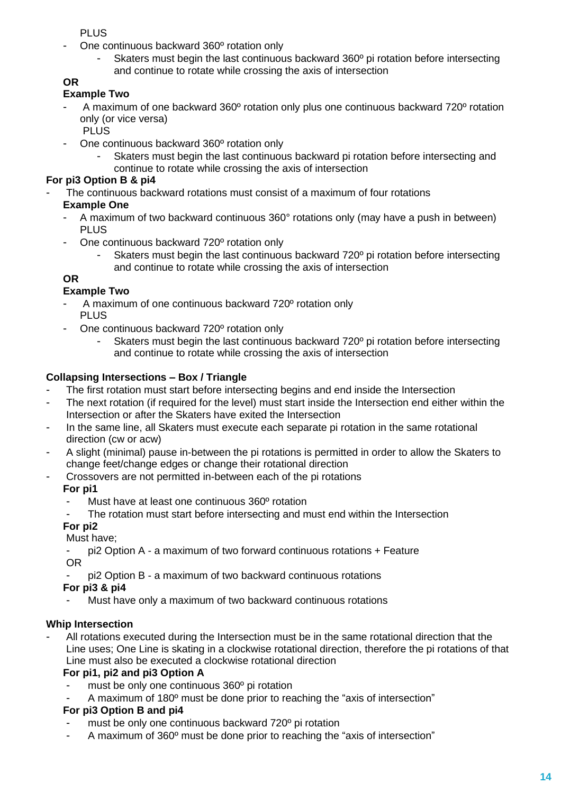PLUS

- One continuous backward 360° rotation only
	- Skaters must begin the last continuous backward 360° pi rotation before intersecting and continue to rotate while crossing the axis of intersection

# **OR**

### **Example Two**

- A maximum of one backward 360º rotation only plus one continuous backward 720º rotation only (or vice versa)
	- PLUS.
- One continuous backward 360° rotation only
	- Skaters must begin the last continuous backward pi rotation before intersecting and continue to rotate while crossing the axis of intersection

# **For pi3 Option B & pi4**

- The continuous backward rotations must consist of a maximum of four rotations

# **Example One**

- A maximum of two backward continuous 360° rotations only (may have a push in between) PLUS
- One continuous backward 720<sup>°</sup> rotation only
	- Skaters must begin the last continuous backward 720° pi rotation before intersecting and continue to rotate while crossing the axis of intersection

# **OR**

# **Example Two**

- A maximum of one continuous backward 720° rotation only PLUS
- One continuous backward 720° rotation only
	- Skaters must begin the last continuous backward 720° pi rotation before intersecting and continue to rotate while crossing the axis of intersection

# **Collapsing Intersections – Box / Triangle**

- The first rotation must start before intersecting begins and end inside the Intersection
- The next rotation (if required for the level) must start inside the Intersection end either within the Intersection or after the Skaters have exited the Intersection
- In the same line, all Skaters must execute each separate pi rotation in the same rotational direction (cw or acw)
- A slight (minimal) pause in-between the pi rotations is permitted in order to allow the Skaters to change feet/change edges or change their rotational direction
- Crossovers are not permitted in-between each of the pi rotations

# **For pi1**

- Must have at least one continuous 360° rotation
- The rotation must start before intersecting and must end within the Intersection

# **For pi2**

Must have;

- pi2 Option A a maximum of two forward continuous rotations + Feature OR
- pi2 Option B a maximum of two backward continuous rotations

# **For pi3 & pi4**

Must have only a maximum of two backward continuous rotations

# **Whip Intersection**

All rotations executed during the Intersection must be in the same rotational direction that the Line uses; One Line is skating in a clockwise rotational direction, therefore the pi rotations of that Line must also be executed a clockwise rotational direction

# **For pi1, pi2 and pi3 Option A**

- must be only one continuous 360° pi rotation
- A maximum of 180<sup>°</sup> must be done prior to reaching the "axis of intersection"

# **For pi3 Option B and pi4**

- must be only one continuous backward 720° pi rotation
- A maximum of 360° must be done prior to reaching the "axis of intersection"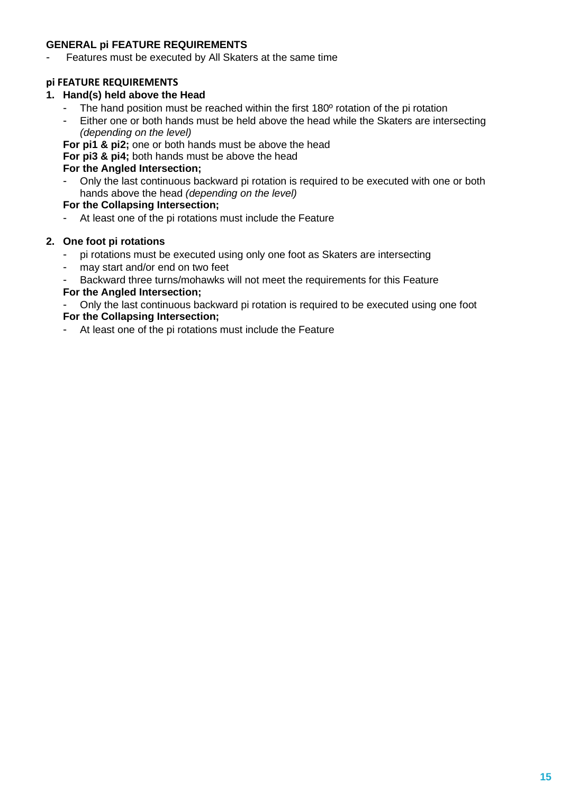### **GENERAL pi FEATURE REQUIREMENTS**

- Features must be executed by All Skaters at the same time

#### **pi FEATURE REQUIREMENTS**

#### **1. Hand(s) held above the Head**

- The hand position must be reached within the first 180<sup>°</sup> rotation of the pi rotation<br>- Fither one or both hands must be held above the head while the Skaters are inte
- Either one or both hands must be held above the head while the Skaters are intersecting *(depending on the level)*

**For pi1 & pi2;** one or both hands must be above the head

**For pi3 & pi4;** both hands must be above the head

#### **For the Angled Intersection;**

- Only the last continuous backward pi rotation is required to be executed with one or both hands above the head *(depending on the level)*

#### **For the Collapsing Intersection;**

At least one of the pi rotations must include the Feature

#### **2. One foot pi rotations**

- pi rotations must be executed using only one foot as Skaters are intersecting
- may start and/or end on two feet
- Backward three turns/mohawks will not meet the requirements for this Feature

#### **For the Angled Intersection;**

- Only the last continuous backward pi rotation is required to be executed using one foot **For the Collapsing Intersection;**

- At least one of the pi rotations must include the Feature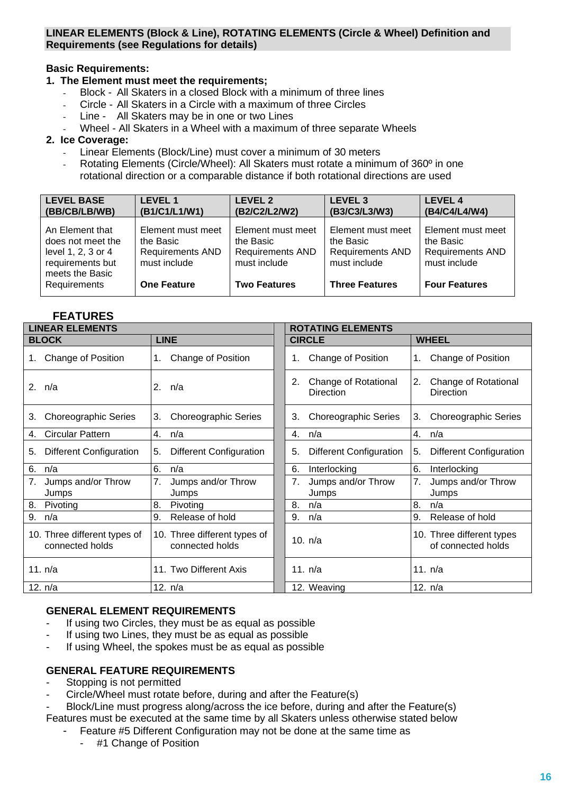#### **LINEAR ELEMENTS (Block & Line), ROTATING ELEMENTS (Circle & Wheel) Definition and Requirements (see Regulations for details)**

### **Basic Requirements:**

#### **1. The Element must meet the requirements;**

- Block All Skaters in a closed Block with a minimum of three lines
- Circle All Skaters in a Circle with a maximum of three Circles
- Line All Skaters may be in one or two Lines
- Wheel All Skaters in a Wheel with a maximum of three separate Wheels

#### **2. Ice Coverage:**

- Linear Elements (Block/Line) must cover a minimum of 30 meters
- Rotating Elements (Circle/Wheel): All Skaters must rotate a minimum of 360<sup>o</sup> in one rotational direction or a comparable distance if both rotational directions are used

| (BB/CB/LB/WB)                                                                                                            | <b>LEVEL 1</b>                                                                                  | <b>LEVEL 2</b>                                                                                   | <b>LEVEL 3</b>                                                                                     | <b>LEVEL 4</b>                                                                                    |
|--------------------------------------------------------------------------------------------------------------------------|-------------------------------------------------------------------------------------------------|--------------------------------------------------------------------------------------------------|----------------------------------------------------------------------------------------------------|---------------------------------------------------------------------------------------------------|
|                                                                                                                          | (B1/C1/L1/W1)                                                                                   | (B2/C2/L2/W2)                                                                                    | (B3/C3/L3/W3)                                                                                      | (B4/C4/L4/W4)                                                                                     |
| An Element that<br>does not meet the<br>level 1, 2, 3 or 4<br>requirements but<br>meets the Basic<br><b>Requirements</b> | Element must meet<br>the Basic<br><b>Requirements AND</b><br>must include<br><b>One Feature</b> | Element must meet<br>the Basic<br><b>Requirements AND</b><br>must include<br><b>Two Features</b> | Element must meet<br>the Basic<br><b>Requirements AND</b><br>must include<br><b>Three Features</b> | Element must meet<br>the Basic<br><b>Requirements AND</b><br>must include<br><b>Four Features</b> |

### **FEATURES**

| <b>LINEAR ELEMENTS</b>         |                                | <b>ROTATING ELEMENTS</b>                       |                                         |  |  |
|--------------------------------|--------------------------------|------------------------------------------------|-----------------------------------------|--|--|
| <b>BLOCK</b>                   | <b>LINE</b>                    | <b>CIRCLE</b>                                  | <b>WHEEL</b>                            |  |  |
| Change of Position             | Change of Position             | Change of Position                             | Change of Position                      |  |  |
| 1.                             | 1.                             | 1.                                             | $1_{\cdot}$                             |  |  |
| 2. n/a                         | 2.<br>n/a                      | Change of Rotational<br>2.<br><b>Direction</b> | 2.<br>Change of Rotational<br>Direction |  |  |
| <b>Choreographic Series</b>    | <b>Choreographic Series</b>    | <b>Choreographic Series</b>                    | <b>Choreographic Series</b>             |  |  |
| 3.                             | 3.                             | 3.                                             | 3.                                      |  |  |
| <b>Circular Pattern</b>        | 4.                             | n/a                                            | 4.                                      |  |  |
| 4.                             | n/a                            | 4.                                             | n/a                                     |  |  |
| <b>Different Configuration</b> | <b>Different Configuration</b> | <b>Different Configuration</b>                 | Different Configuration                 |  |  |
| 5.                             | 5.                             | 5.                                             | 5.                                      |  |  |
| 6.                             | 6.                             | 6.                                             | 6.                                      |  |  |
| n/a                            | n/a                            | Interlocking                                   | Interlocking                            |  |  |
| Jumps and/or Throw             | 7.                             | Jumps and/or Throw                             | Jumps and/or Throw                      |  |  |
| 7.                             | Jumps and/or Throw             | 7.                                             | 7.                                      |  |  |
| Jumps                          | Jumps                          | Jumps                                          | Jumps                                   |  |  |
| 8.                             | 8.                             | n/a                                            | 8.                                      |  |  |
| Pivoting                       | Pivoting                       | 8.                                             | n/a                                     |  |  |
| 9.                             | Release of hold                | 9.                                             | Release of hold                         |  |  |
| n/a                            | 9.                             | n/a                                            | 9.                                      |  |  |
| 10. Three different types of   | 10. Three different types of   | 10. $n/a$                                      | 10. Three different types               |  |  |
| connected holds                | connected holds                |                                                | of connected holds                      |  |  |
| 11. n/a                        | 11. Two Different Axis         | 11. n/a                                        | 11. n/a                                 |  |  |
| 12. n/a                        | 12. n/a                        | 12. Weaving                                    | 12. n/a                                 |  |  |

#### **GENERAL ELEMENT REQUIREMENTS**

- If using two Circles, they must be as equal as possible
- If using two Lines, they must be as equal as possible
- If using Wheel, the spokes must be as equal as possible

#### **GENERAL FEATURE REQUIREMENTS**

- Stopping is not permitted
- Circle/Wheel must rotate before, during and after the Feature(s)

Block/Line must progress along/across the ice before, during and after the Feature(s) Features must be executed at the same time by all Skaters unless otherwise stated below

- Feature #5 Different Configuration may not be done at the same time as
	- #1 Change of Position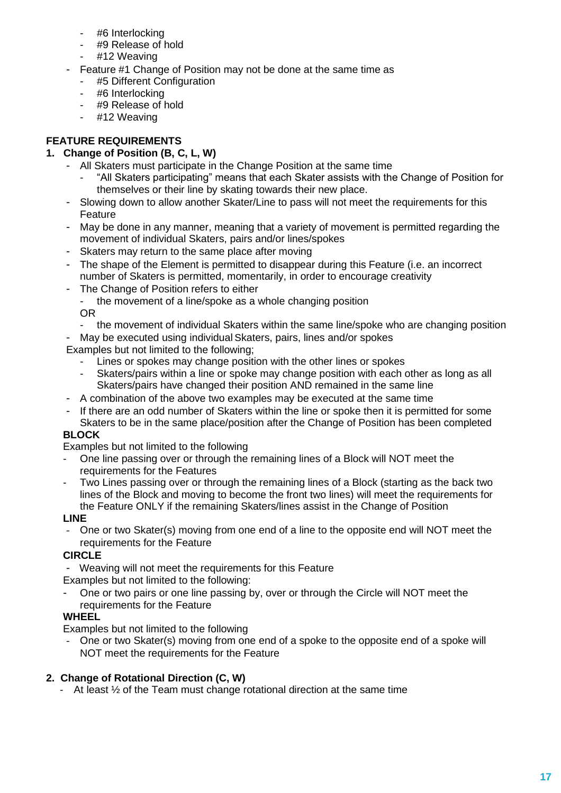- #6 Interlocking
- #9 Release of hold
- #12 Weaving
- Feature #1 Change of Position may not be done at the same time as
	- #5 Different Configuration
	- #6 Interlocking
	- #9 Release of hold
	- #12 Weaving

# **FEATURE REQUIREMENTS**

# **1. Change of Position (B, C, L, W)**

- All Skaters must participate in the Change Position at the same time
	- "All Skaters participating" means that each Skater assists with the Change of Position for themselves or their line by skating towards their new place.
- Slowing down to allow another Skater/Line to pass will not meet the requirements for this Feature
- May be done in any manner, meaning that a variety of movement is permitted regarding the movement of individual Skaters, pairs and/or lines/spokes
- Skaters may return to the same place after moving
- The shape of the Element is permitted to disappear during this Feature (i.e. an incorrect number of Skaters is permitted, momentarily, in order to encourage creativity
- The Change of Position refers to either
	- the movement of a line/spoke as a whole changing position OR
	- the movement of individual Skaters within the same line/spoke who are changing position
- May be executed using individual Skaters, pairs, lines and/or spokes

Examples but not limited to the following;

- Lines or spokes may change position with the other lines or spokes
- Skaters/pairs within a line or spoke may change position with each other as long as all Skaters/pairs have changed their position AND remained in the same line
- A combination of the above two examples may be executed at the same time
- If there are an odd number of Skaters within the line or spoke then it is permitted for some Skaters to be in the same place/position after the Change of Position has been completed

# **BLOCK**

Examples but not limited to the following

- One line passing over or through the remaining lines of a Block will NOT meet the requirements for the Features
- Two Lines passing over or through the remaining lines of a Block (starting as the back two lines of the Block and moving to become the front two lines) will meet the requirements for the Feature ONLY if the remaining Skaters/lines assist in the Change of Position

# **LINE**

One or two Skater(s) moving from one end of a line to the opposite end will NOT meet the requirements for the Feature

# **CIRCLE**

Weaving will not meet the requirements for this Feature

Examples but not limited to the following:

One or two pairs or one line passing by, over or through the Circle will NOT meet the requirements for the Feature

# **WHEEL**

Examples but not limited to the following

One or two Skater(s) moving from one end of a spoke to the opposite end of a spoke will NOT meet the requirements for the Feature

### **2. Change of Rotational Direction (C, W)**

- At least  $\frac{1}{2}$  of the Team must change rotational direction at the same time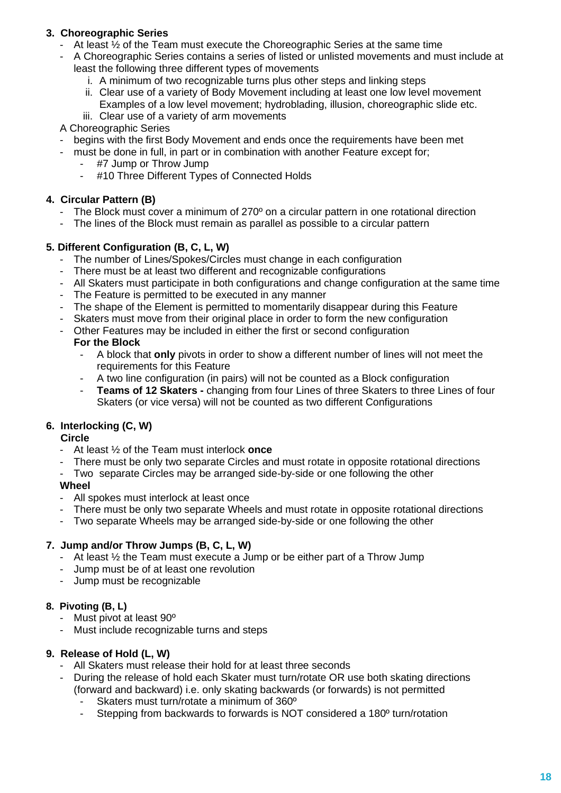# **3. Choreographic Series**

- At least ½ of the Team must execute the Choreographic Series at the same time
- A Choreographic Series contains a series of listed or unlisted movements and must include at least the following three different types of movements
	- i. A minimum of two recognizable turns plus other steps and linking steps
	- ii. Clear use of a variety of Body Movement including at least one low level movement
	- Examples of a low level movement; hydroblading, illusion, choreographic slide etc.
	- iii. Clear use of a variety of arm movements
- A Choreographic Series
- begins with the first Body Movement and ends once the requirements have been met
- must be done in full, in part or in combination with another Feature except for;
	- #7 Jump or Throw Jump
	- #10 Three Different Types of Connected Holds

### **4. Circular Pattern (B)**

- The Block must cover a minimum of 270<sup>o</sup> on a circular pattern in one rotational direction
- The lines of the Block must remain as parallel as possible to a circular pattern

### **5. Different Configuration (B, C, L, W)**

- The number of Lines/Spokes/Circles must change in each configuration
- There must be at least two different and recognizable configurations
- All Skaters must participate in both configurations and change configuration at the same time
- The Feature is permitted to be executed in any manner
- The shape of the Element is permitted to momentarily disappear during this Feature
- Skaters must move from their original place in order to form the new configuration
- Other Features may be included in either the first or second configuration

#### **For the Block**

- A block that **only** pivots in order to show a different number of lines will not meet the requirements for this Feature
- A two line configuration (in pairs) will not be counted as a Block configuration
- **Teams of 12 Skaters -** changing from four Lines of three Skaters to three Lines of four Skaters (or vice versa) will not be counted as two different Configurations

# **6. Interlocking (C, W)**

#### **Circle**

- At least ½ of the Team must interlock **once**
- There must be only two separate Circles and must rotate in opposite rotational directions
- Two separate Circles may be arranged side-by-side or one following the other

#### **Wheel**

- All spokes must interlock at least once
- There must be only two separate Wheels and must rotate in opposite rotational directions
- Two separate Wheels may be arranged side-by-side or one following the other

#### **7. Jump and/or Throw Jumps (B, C, L, W)**

- At least  $\frac{1}{2}$  the Team must execute a Jump or be either part of a Throw Jump
- Jump must be of at least one revolution
- Jump must be recognizable

#### **8. Pivoting (B, L)**

- Must pivot at least 90°
- Must include recognizable turns and steps

#### **9. Release of Hold (L, W)**

- All Skaters must release their hold for at least three seconds
- During the release of hold each Skater must turn/rotate OR use both skating directions (forward and backward) i.e. only skating backwards (or forwards) is not permitted
	- Skaters must turn/rotate a minimum of 360°
	- Stepping from backwards to forwards is NOT considered a 180<sup>°</sup> turn/rotation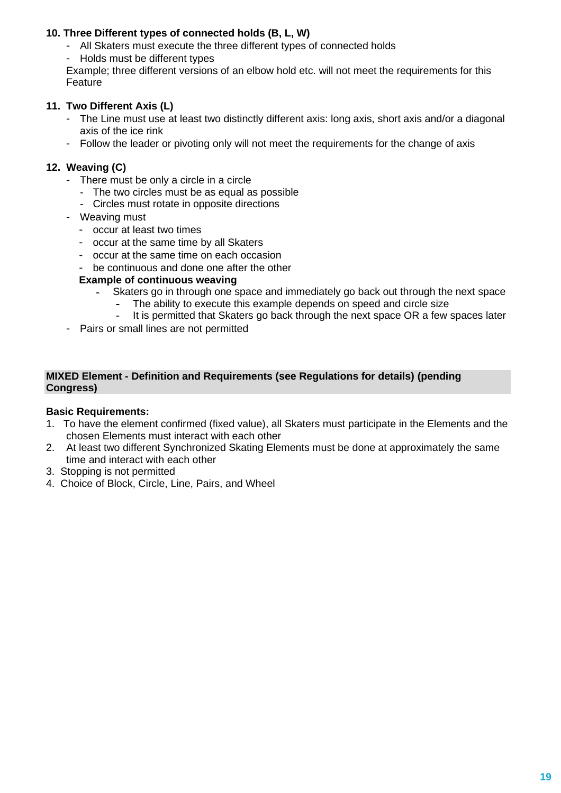# **10. Three Different types of connected holds (B, L, W)**

- All Skaters must execute the three different types of connected holds
- Holds must be different types

Example; three different versions of an elbow hold etc. will not meet the requirements for this Feature

# **11. Two Different Axis (L)**

- The Line must use at least two distinctly different axis: long axis, short axis and/or a diagonal axis of the ice rink
- Follow the leader or pivoting only will not meet the requirements for the change of axis

# **12. Weaving (C)**

- There must be only a circle in a circle
	- The two circles must be as equal as possible
	- Circles must rotate in opposite directions
- Weaving must
	- occur at least two times
	- occur at the same time by all Skaters
	- occur at the same time on each occasion
	- be continuous and done one after the other

# **Example of continuous weaving**

- Skaters go in through one space and immediately go back out through the next space
	- The ability to execute this example depends on speed and circle size
	- It is permitted that Skaters go back through the next space OR a few spaces later
- Pairs or small lines are not permitted

#### **MIXED Element - Definition and Requirements (see Regulations for details) (pending Congress)**

### **Basic Requirements:**

- 1. To have the element confirmed (fixed value), all Skaters must participate in the Elements and the chosen Elements must interact with each other
- 2. At least two different Synchronized Skating Elements must be done at approximately the same time and interact with each other
- 3. Stopping is not permitted
- 4. Choice of Block, Circle, Line, Pairs, and Wheel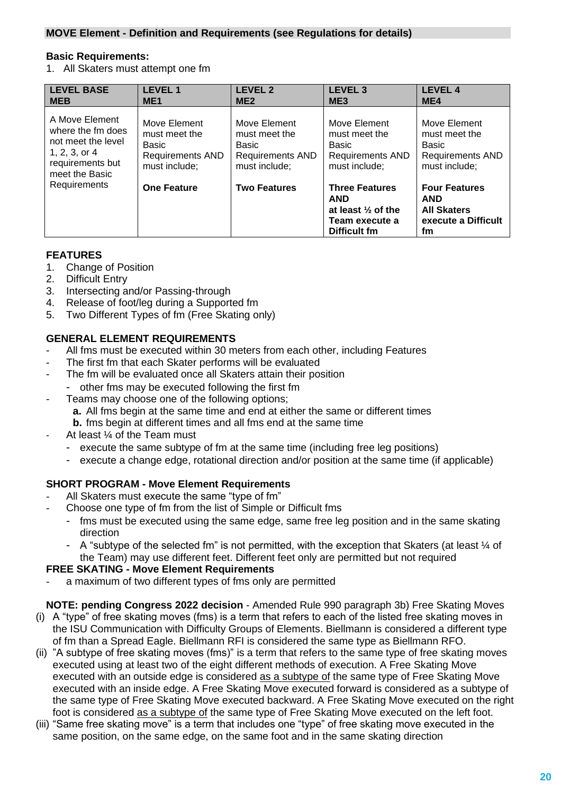#### **MOVE Element - Definition and Requirements (see Regulations for details)**

#### **Basic Requirements:**

1. All Skaters must attempt one fm

| <b>LEVEL BASE</b><br><b>MEB</b>                                                                                      | <b>LEVEL 1</b><br>ME <sub>1</sub>                                                  | <b>LEVEL 2</b><br>ME <sub>2</sub>                                                  | <b>LEVEL 3</b><br>ME <sub>3</sub>                                                                      | <b>LEVEL 4</b><br>ME4                                                                 |
|----------------------------------------------------------------------------------------------------------------------|------------------------------------------------------------------------------------|------------------------------------------------------------------------------------|--------------------------------------------------------------------------------------------------------|---------------------------------------------------------------------------------------|
| A Move Element<br>where the fm does<br>not meet the level<br>$1, 2, 3,$ or $4$<br>requirements but<br>meet the Basic | Move Element<br>must meet the<br>Basic<br><b>Requirements AND</b><br>must include; | Move Element<br>must meet the<br>Basic<br><b>Requirements AND</b><br>must include; | Move Element<br>must meet the<br><b>Basic</b><br><b>Requirements AND</b><br>must include;              | Move Element<br>must meet the<br>Basic<br><b>Requirements AND</b><br>must include;    |
| Requirements                                                                                                         | <b>One Feature</b>                                                                 | <b>Two Features</b>                                                                | <b>Three Features</b><br><b>AND</b><br>at least $\frac{1}{2}$ of the<br>Team execute a<br>Difficult fm | <b>Four Features</b><br><b>AND</b><br><b>All Skaters</b><br>execute a Difficult<br>fm |

# **FEATURES**

- 1. Change of Position
- 2. Difficult Entry
- 3. Intersecting and/or Passing-through
- 4. Release of foot/leg during a Supported fm
- 5. Two Different Types of fm (Free Skating only)

# **GENERAL ELEMENT REQUIREMENTS**

- All fms must be executed within 30 meters from each other, including Features
- The first fm that each Skater performs will be evaluated
- The fm will be evaluated once all Skaters attain their position
- other fms may be executed following the first fm
- Teams may choose one of the following options:
	- **a.** All fms begin at the same time and end at either the same or different times
	- **b.** fms begin at different times and all fms end at the same time
- At least  $\frac{1}{4}$  of the Team must
	- execute the same subtype of fm at the same time (including free leg positions)
	- execute a change edge, rotational direction and/or position at the same time (if applicable)

### **SHORT PROGRAM - Move Element Requirements**

- All Skaters must execute the same "type of fm"
- Choose one type of fm from the list of Simple or Difficult fms
	- fms must be executed using the same edge, same free leg position and in the same skating direction
	- A "subtype of the selected fm" is not permitted, with the exception that Skaters (at least ¼ of the Team) may use different feet. Different feet only are permitted but not required

### **FREE SKATING - Move Element Requirements**

- a maximum of two different types of fms only are permitted
- **NOTE: pending Congress 2022 decision** Amended Rule 990 paragraph 3b) Free Skating Moves (i) A "type" of free skating moves (fms) is a term that refers to each of the listed free skating moves in the ISU Communication with Difficulty Groups of Elements. Biellmann is considered a different type of fm than a Spread Eagle. Biellmann RFI is considered the same type as Biellmann RFO.
- (ii) "A subtype of free skating moves (fms)" is a term that refers to the same type of free skating moves executed using at least two of the eight different methods of execution. A Free Skating Move executed with an outside edge is considered as a subtype of the same type of Free Skating Move executed with an inside edge. A Free Skating Move executed forward is considered as a subtype of the same type of Free Skating Move executed backward. A Free Skating Move executed on the right foot is considered as a subtype of the same type of Free Skating Move executed on the left foot.
- (iii) "Same free skating move" is a term that includes one "type" of free skating move executed in the same position, on the same edge, on the same foot and in the same skating direction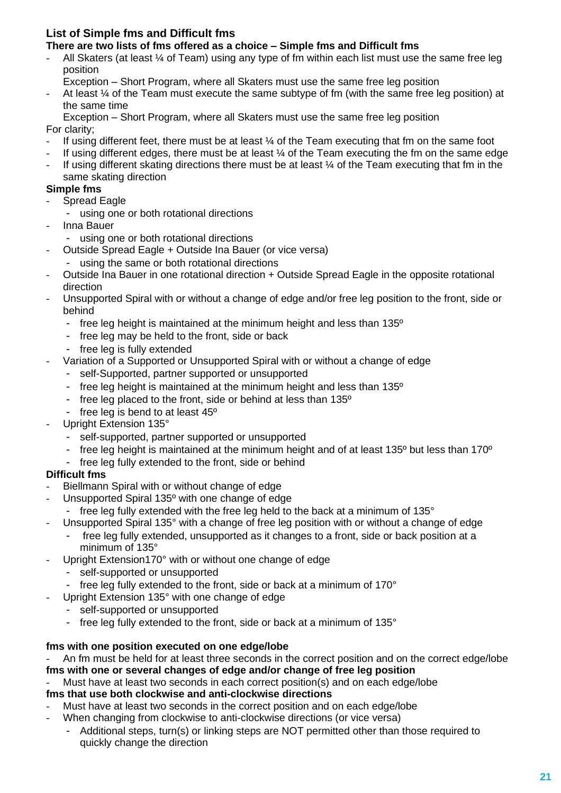# **List of Simple fms and Difficult fms**

# **There are two lists of fms offered as a choice – Simple fms and Difficult fms**

- All Skaters (at least  $\frac{1}{4}$  of Team) using any type of fm within each list must use the same free leg position
- Exception Short Program, where all Skaters must use the same free leg position
- At least  $\frac{1}{4}$  of the Team must execute the same subtype of fm (with the same free leg position) at the same time

Exception – Short Program, where all Skaters must use the same free leg position

For clarity;

- If using different feet, there must be at least  $\frac{1}{4}$  of the Team executing that fm on the same foot
- If using different edges, there must be at least  $\frac{1}{4}$  of the Team executing the fm on the same edge
- If using different skating directions there must be at least  $\%$  of the Team executing that fm in the same skating direction

# **Simple fms**

- Spread Eagle
	- using one or both rotational directions
- Inna Bauer
	- using one or both rotational directions
- Outside Spread Eagle + Outside Ina Bauer (or vice versa)
	- using the same or both rotational directions
- Outside Ina Bauer in one rotational direction + Outside Spread Eagle in the opposite rotational direction
- Unsupported Spiral with or without a change of edge and/or free leg position to the front, side or behind
	- free leg height is maintained at the minimum height and less than 135º
	- free leg may be held to the front, side or back
	- free leg is fully extended
	- Variation of a Supported or Unsupported Spiral with or without a change of edge
		- self-Supported, partner supported or unsupported
			- free leg height is maintained at the minimum height and less than 135°
			- free leg placed to the front, side or behind at less than 135º
			- free leg is bend to at least 45º
- Upright Extension 135°
	- self-supported, partner supported or unsupported
	- free leg height is maintained at the minimum height and of at least  $135^{\circ}$  but less than  $170^{\circ}$
	- free leg fully extended to the front, side or behind

### **Difficult fms**

- Biellmann Spiral with or without change of edge
- Unsupported Spiral 135<sup>o</sup> with one change of edge
- free leg fully extended with the free leg held to the back at a minimum of 135°
- Unsupported Spiral 135° with a change of free leg position with or without a change of edge
	- free leg fully extended, unsupported as it changes to a front, side or back position at a minimum of 135°
	- Upright Extension170° with or without one change of edge
	- self-supported or unsupported
	- free leg fully extended to the front, side or back at a minimum of 170°
- Upright Extension 135° with one change of edge
	- self-supported or unsupported
	- free leg fully extended to the front, side or back at a minimum of 135°

### **fms with one position executed on one edge/lobe**

- An fm must be held for at least three seconds in the correct position and on the correct edge/lobe **fms with one or several changes of edge and/or change of free leg position**

Must have at least two seconds in each correct position(s) and on each edge/lobe

### **fms that use both clockwise and anti-clockwise directions**

- Must have at least two seconds in the correct position and on each edge/lobe
- When changing from clockwise to anti-clockwise directions (or vice versa)
	- Additional steps, turn(s) or linking steps are NOT permitted other than those required to quickly change the direction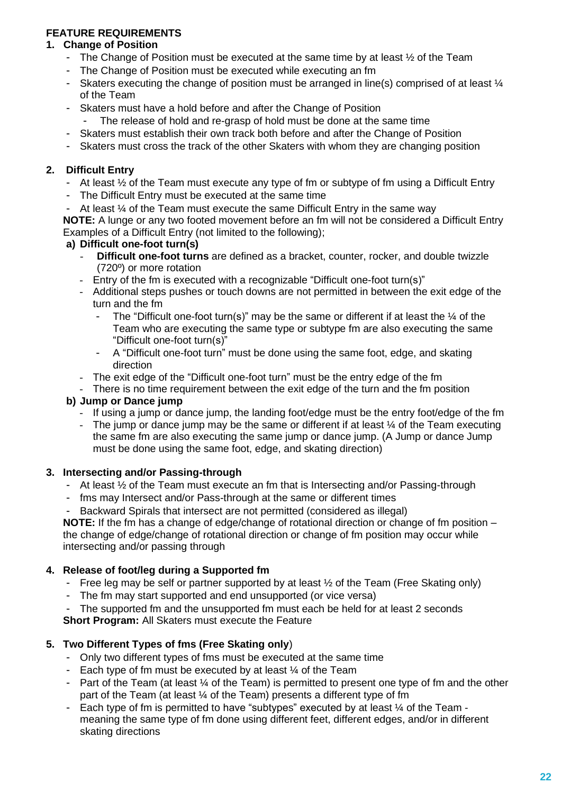### **FEATURE REQUIREMENTS**

#### **1. Change of Position**

- The Change of Position must be executed at the same time by at least  $\frac{1}{2}$  of the Team
- The Change of Position must be executed while executing an fm
- Skaters executing the change of position must be arranged in line(s) comprised of at least  $\frac{1}{4}$ of the Team
- Skaters must have a hold before and after the Change of Position
	- The release of hold and re-grasp of hold must be done at the same time
- Skaters must establish their own track both before and after the Change of Position
- Skaters must cross the track of the other Skaters with whom they are changing position

#### **2. Difficult Entry**

- At least ½ of the Team must execute any type of fm or subtype of fm using a Difficult Entry
- The Difficult Entry must be executed at the same time
- At least  $\frac{1}{4}$  of the Team must execute the same Difficult Entry in the same way

**NOTE:** A lunge or any two footed movement before an fm will not be considered a Difficult Entry Examples of a Difficult Entry (not limited to the following);

#### **a) Difficult one-foot turn(s)**

- **Difficult one-foot turns** are defined as a bracket, counter, rocker, and double twizzle (720º) or more rotation
- Entry of the fm is executed with a recognizable "Difficult one-foot turn(s)"
- Additional steps pushes or touch downs are not permitted in between the exit edge of the turn and the fm
	- The "Difficult one-foot turn(s)" may be the same or different if at least the  $\frac{1}{4}$  of the Team who are executing the same type or subtype fm are also executing the same "Difficult one-foot turn(s)"
	- A "Difficult one-foot turn" must be done using the same foot, edge, and skating direction
- The exit edge of the "Difficult one-foot turn" must be the entry edge of the fm
- There is no time requirement between the exit edge of the turn and the fm position

### **b) Jump or Dance jump**

- If using a jump or dance jump, the landing foot/edge must be the entry foot/edge of the fm
- The jump or dance jump may be the same or different if at least  $\frac{1}{4}$  of the Team executing the same fm are also executing the same jump or dance jump. (A Jump or dance Jump must be done using the same foot, edge, and skating direction)

#### **3. Intersecting and/or Passing-through**

- At least ½ of the Team must execute an fm that is Intersecting and/or Passing-through
- fms may Intersect and/or Pass-through at the same or different times
- Backward Spirals that intersect are not permitted (considered as illegal)

**NOTE:** If the fm has a change of edge/change of rotational direction or change of fm position – the change of edge/change of rotational direction or change of fm position may occur while intersecting and/or passing through

### **4. Release of foot/leg during a Supported fm**

- Free leg may be self or partner supported by at least ½ of the Team (Free Skating only)
- The fm may start supported and end unsupported (or vice versa)

The supported fm and the unsupported fm must each be held for at least 2 seconds **Short Program:** All Skaters must execute the Feature

### **5. Two Different Types of fms (Free Skating only**)

- Only two different types of fms must be executed at the same time
- Each type of fm must be executed by at least  $\frac{1}{4}$  of the Team
- Part of the Team (at least  $\frac{1}{4}$  of the Team) is permitted to present one type of fm and the other part of the Team (at least ¼ of the Team) presents a different type of fm
- Each type of fm is permitted to have "subtypes" executed by at least  $\frac{1}{4}$  of the Team meaning the same type of fm done using different feet, different edges, and/or in different skating directions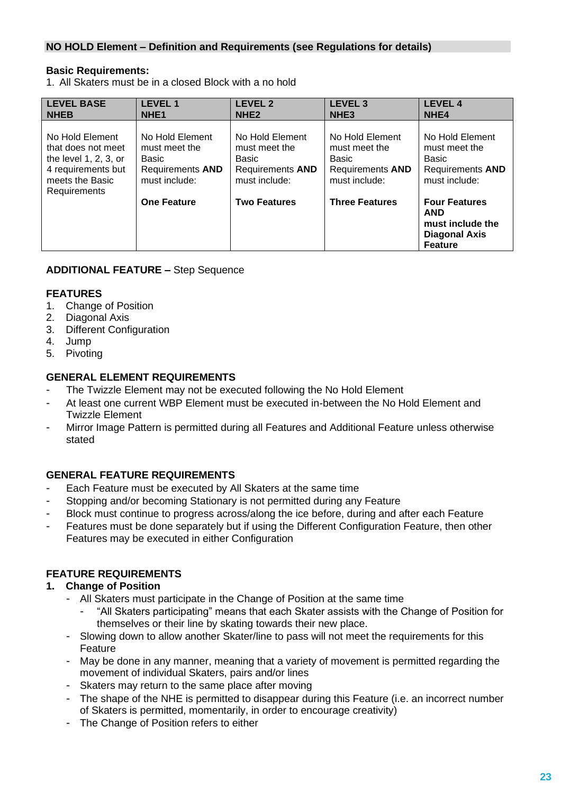### **NO HOLD Element – Definition and Requirements (see Regulations for details)**

#### **Basic Requirements:**

1. All Skaters must be in a closed Block with a no hold

| <b>LEVEL BASE</b><br><b>NHEB</b>                                                                                           | <b>LEVEL1</b><br>NHE <sub>1</sub>                                              | <b>LEVEL 2</b><br>NHE <sub>2</sub>                                                    | <b>LEVEL 3</b><br>NHE <sub>3</sub>                                                    | <b>LEVEL 4</b><br>NHE <sub>4</sub>                                                               |
|----------------------------------------------------------------------------------------------------------------------------|--------------------------------------------------------------------------------|---------------------------------------------------------------------------------------|---------------------------------------------------------------------------------------|--------------------------------------------------------------------------------------------------|
| No Hold Element<br>that does not meet<br>the level $1, 2, 3$ , or<br>4 requirements but<br>meets the Basic<br>Requirements | No Hold Element<br>must meet the<br>Basic<br>Requirements AND<br>must include: | No Hold Element<br>must meet the<br>Basic<br><b>Requirements AND</b><br>must include: | No Hold Element<br>must meet the<br>Basic<br><b>Requirements AND</b><br>must include: | No Hold Element<br>must meet the<br>Basic<br><b>Requirements AND</b><br>must include:            |
|                                                                                                                            | <b>One Feature</b>                                                             | <b>Two Features</b>                                                                   | <b>Three Features</b>                                                                 | <b>Four Features</b><br><b>AND</b><br>must include the<br><b>Diagonal Axis</b><br><b>Feature</b> |

#### **ADDITIONAL FEATURE –** Step Sequence

#### **FEATURES**

- 1. Change of Position
- 2. Diagonal Axis
- 3. Different Configuration
- 4. Jump
- 5. Pivoting

### **GENERAL ELEMENT REQUIREMENTS**

- The Twizzle Element may not be executed following the No Hold Element
- At least one current WBP Element must be executed in-between the No Hold Element and Twizzle Element
- Mirror Image Pattern is permitted during all Features and Additional Feature unless otherwise stated

### **GENERAL FEATURE REQUIREMENTS**

- Each Feature must be executed by All Skaters at the same time
- Stopping and/or becoming Stationary is not permitted during any Feature
- Block must continue to progress across/along the ice before, during and after each Feature
- Features must be done separately but if using the Different Configuration Feature, then other Features may be executed in either Configuration

### **FEATURE REQUIREMENTS**

#### **1. Change of Position**

- All Skaters must participate in the Change of Position at the same time
	- "All Skaters participating" means that each Skater assists with the Change of Position for themselves or their line by skating towards their new place.
- Slowing down to allow another Skater/line to pass will not meet the requirements for this Feature
- May be done in any manner, meaning that a variety of movement is permitted regarding the movement of individual Skaters, pairs and/or lines
- Skaters may return to the same place after moving
- The shape of the NHE is permitted to disappear during this Feature (i.e. an incorrect number of Skaters is permitted, momentarily, in order to encourage creativity)
- The Change of Position refers to either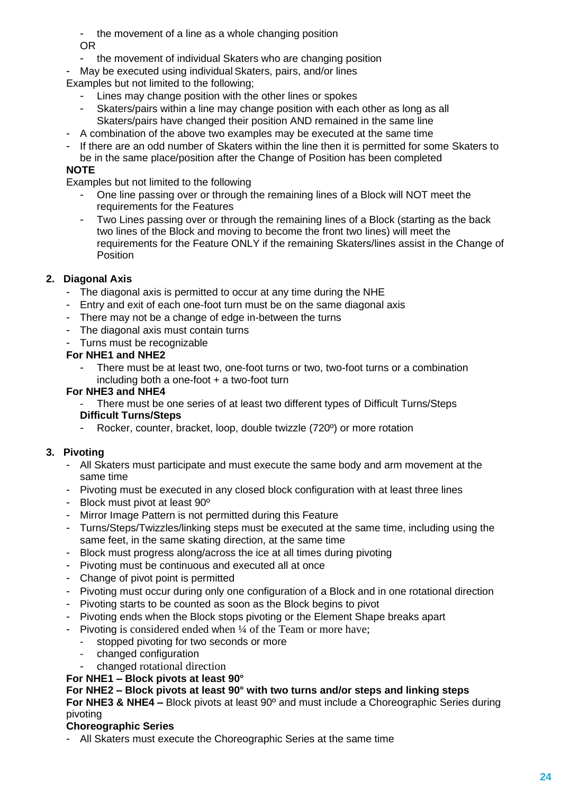- the movement of a line as a whole changing position OR

- the movement of individual Skaters who are changing position
- May be executed using individual Skaters, pairs, and/or lines

Examples but not limited to the following;

- Lines may change position with the other lines or spokes
- Skaters/pairs within a line may change position with each other as long as all Skaters/pairs have changed their position AND remained in the same line
- A combination of the above two examples may be executed at the same time
- If there are an odd number of Skaters within the line then it is permitted for some Skaters to be in the same place/position after the Change of Position has been completed

# **NOTE**

Examples but not limited to the following

- One line passing over or through the remaining lines of a Block will NOT meet the requirements for the Features
- Two Lines passing over or through the remaining lines of a Block (starting as the back two lines of the Block and moving to become the front two lines) will meet the requirements for the Feature ONLY if the remaining Skaters/lines assist in the Change of **Position**

# **2. Diagonal Axis**

- The diagonal axis is permitted to occur at any time during the NHE
- Entry and exit of each one-foot turn must be on the same diagonal axis
- There may not be a change of edge in-between the turns
- The diagonal axis must contain turns
- Turns must be recognizable

#### **For NHE1 and NHE2**

There must be at least two, one-foot turns or two, two-foot turns or a combination including both a one-foot + a two-foot turn

#### **For NHE3 and NHE4**

- There must be one series of at least two different types of Difficult Turns/Steps **Difficult Turns/Steps**
- Rocker, counter, bracket, loop, double twizzle (720º) or more rotation

### **3. Pivoting**

- All Skaters must participate and must execute the same body and arm movement at the same time
- Pivoting must be executed in any closed block configuration with at least three lines
- Block must pivot at least 90º
- Mirror Image Pattern is not permitted during this Feature
- Turns/Steps/Twizzles/linking steps must be executed at the same time, including using the same feet, in the same skating direction, at the same time
- Block must progress along/across the ice at all times during pivoting
- Pivoting must be continuous and executed all at once
- Change of pivot point is permitted
- Pivoting must occur during only one configuration of a Block and in one rotational direction
- Pivoting starts to be counted as soon as the Block begins to pivot
- Pivoting ends when the Block stops pivoting or the Element Shape breaks apart
- Pivoting is considered ended when ¼ of the Team or more have;
	- stopped pivoting for two seconds or more
	- changed configuration
	- changed rotational direction
- **For NHE1 – Block pivots at least 90°**

#### **For NHE2 – Block pivots at least 90° with two turns and/or steps and linking steps**

**For NHE3 & NHE4 –** Block pivots at least 90º and must include a Choreographic Series during pivoting

#### **Choreographic Series**

- All Skaters must execute the Choreographic Series at the same time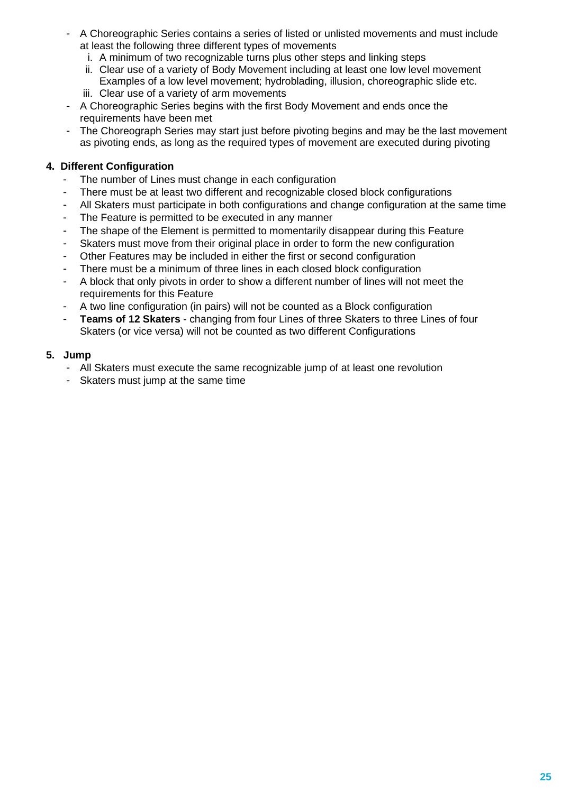- A Choreographic Series contains a series of listed or unlisted movements and must include at least the following three different types of movements
	- i. A minimum of two recognizable turns plus other steps and linking steps
	- ii. Clear use of a variety of Body Movement including at least one low level movement Examples of a low level movement; hydroblading, illusion, choreographic slide etc.
	- iii. Clear use of a variety of arm movements
- A Choreographic Series begins with the first Body Movement and ends once the requirements have been met
- The Choreograph Series may start just before pivoting begins and may be the last movement as pivoting ends, as long as the required types of movement are executed during pivoting

### **4. Different Configuration**

- The number of Lines must change in each configuration
- There must be at least two different and recognizable closed block configurations
- All Skaters must participate in both configurations and change configuration at the same time
- The Feature is permitted to be executed in any manner
- The shape of the Element is permitted to momentarily disappear during this Feature
- Skaters must move from their original place in order to form the new configuration
- Other Features may be included in either the first or second configuration
- There must be a minimum of three lines in each closed block configuration
- A block that only pivots in order to show a different number of lines will not meet the requirements for this Feature
- A two line configuration (in pairs) will not be counted as a Block configuration
- **Teams of 12 Skaters** changing from four Lines of three Skaters to three Lines of four Skaters (or vice versa) will not be counted as two different Configurations

#### **5. Jump**

- All Skaters must execute the same recognizable jump of at least one revolution
- Skaters must jump at the same time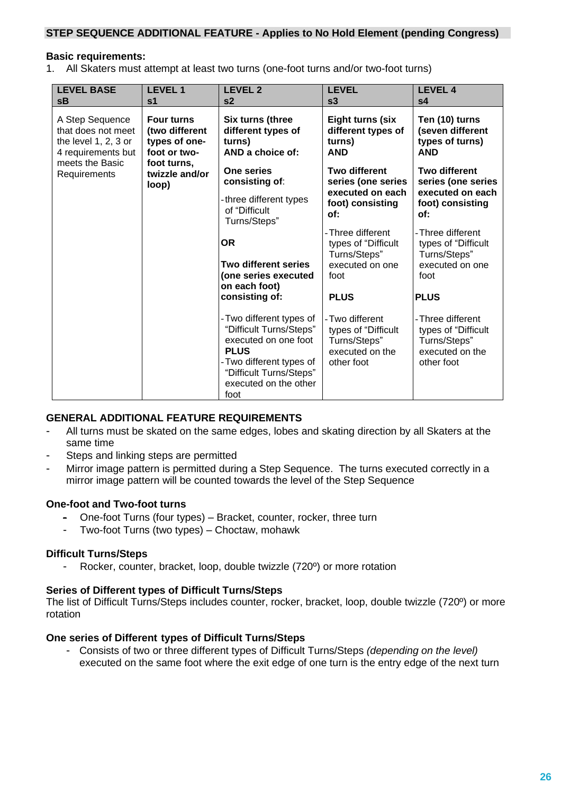#### **STEP SEQUENCE ADDITIONAL FEATURE - Applies to No Hold Element (pending Congress)**

#### **Basic requirements:**

1. All Skaters must attempt at least two turns (one-foot turns and/or two-foot turns)

| <b>LEVEL BASE</b><br>sB                                                               | <b>LEVEL 1</b><br>s <sub>1</sub>                                     | <b>LEVEL 2</b><br>s <sub>2</sub>                                                                                                                                                   | <b>LEVEL</b><br>s3                                                                      | <b>LEVEL 4</b><br>s <sub>4</sub>                                                          |
|---------------------------------------------------------------------------------------|----------------------------------------------------------------------|------------------------------------------------------------------------------------------------------------------------------------------------------------------------------------|-----------------------------------------------------------------------------------------|-------------------------------------------------------------------------------------------|
| A Step Sequence<br>that does not meet<br>the level $1, 2, 3$ or<br>4 requirements but | <b>Four turns</b><br>(two different<br>types of one-<br>foot or two- | Six turns (three<br>different types of<br>turns)<br>AND a choice of:                                                                                                               | <b>Eight turns (six</b><br>different types of<br>turns)<br><b>AND</b>                   | Ten (10) turns<br>(seven different<br>types of turns)<br><b>AND</b>                       |
| meets the Basic<br>Requirements                                                       | foot turns.<br>twizzle and/or<br>loop)                               | One series<br>consisting of:                                                                                                                                                       | <b>Two different</b><br>series (one series                                              | <b>Two different</b><br>series (one series                                                |
|                                                                                       |                                                                      | -three different types<br>of "Difficult<br>Turns/Steps"                                                                                                                            | executed on each<br>foot) consisting<br>of:                                             | executed on each<br>foot) consisting<br>of:                                               |
|                                                                                       |                                                                      | <b>OR</b>                                                                                                                                                                          | - Three different<br>types of "Difficult<br>Turns/Steps"                                | - Three different<br>types of "Difficult<br>Turns/Steps"                                  |
|                                                                                       |                                                                      | <b>Two different series</b><br>(one series executed<br>on each foot)                                                                                                               | executed on one<br>foot                                                                 | executed on one<br>foot                                                                   |
|                                                                                       |                                                                      | consisting of:                                                                                                                                                                     | <b>PLUS</b>                                                                             | <b>PLUS</b>                                                                               |
|                                                                                       |                                                                      | - Two different types of<br>"Difficult Turns/Steps"<br>executed on one foot<br><b>PLUS</b><br>- Two different types of<br>"Difficult Turns/Steps"<br>executed on the other<br>foot | - Two different<br>types of "Difficult<br>Turns/Steps"<br>executed on the<br>other foot | - Three different<br>types of "Difficult<br>Turns/Steps"<br>executed on the<br>other foot |

#### **GENERAL ADDITIONAL FEATURE REQUIREMENTS**

- All turns must be skated on the same edges, lobes and skating direction by all Skaters at the same time
- Steps and linking steps are permitted
- Mirror image pattern is permitted during a Step Sequence. The turns executed correctly in a mirror image pattern will be counted towards the level of the Step Sequence

#### **One-foot and Two-foot turns**

- One-foot Turns (four types) Bracket, counter, rocker, three turn
- Two-foot Turns (two types) Choctaw, mohawk

#### **Difficult Turns/Steps**

- Rocker, counter, bracket, loop, double twizzle (720º) or more rotation

#### **Series of Different types of Difficult Turns/Steps**

The list of Difficult Turns/Steps includes counter, rocker, bracket, loop, double twizzle (720º) or more rotation

#### **One series of Different types of Difficult Turns/Steps**

- Consists of two or three different types of Difficult Turns/Steps *(depending on the level)* executed on the same foot where the exit edge of one turn is the entry edge of the next turn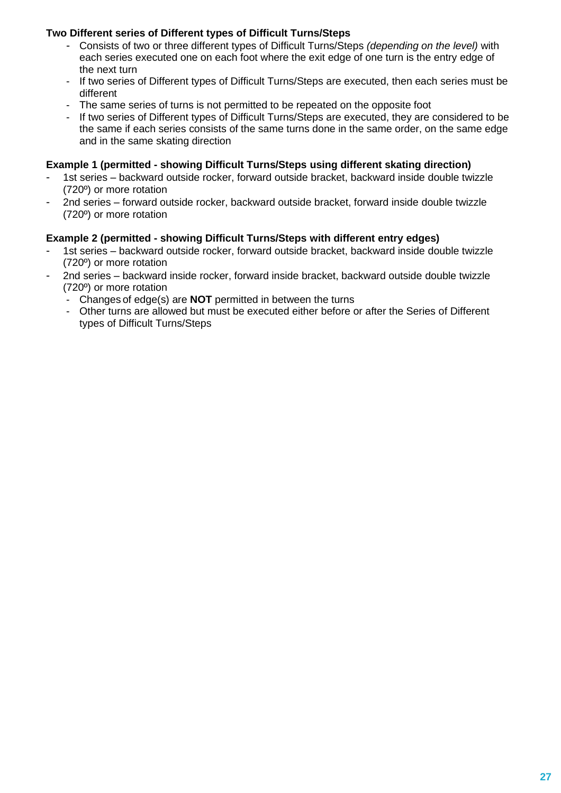# **Two Different series of Different types of Difficult Turns/Steps**

- Consists of two or three different types of Difficult Turns/Steps *(depending on the level)* with each series executed one on each foot where the exit edge of one turn is the entry edge of the next turn
- If two series of Different types of Difficult Turns/Steps are executed, then each series must be different
- The same series of turns is not permitted to be repeated on the opposite foot
- If two series of Different types of Difficult Turns/Steps are executed, they are considered to be the same if each series consists of the same turns done in the same order, on the same edge and in the same skating direction

#### **Example 1 (permitted - showing Difficult Turns/Steps using different skating direction)**

- 1st series backward outside rocker, forward outside bracket, backward inside double twizzle (720º) or more rotation
- 2nd series forward outside rocker, backward outside bracket, forward inside double twizzle (720º) or more rotation

#### **Example 2 (permitted - showing Difficult Turns/Steps with different entry edges)**

- 1st series backward outside rocker, forward outside bracket, backward inside double twizzle (720º) or more rotation
- 2nd series backward inside rocker, forward inside bracket, backward outside double twizzle (720º) or more rotation
	- Changes of edge(s) are **NOT** permitted in between the turns
	- Other turns are allowed but must be executed either before or after the Series of Different types of Difficult Turns/Steps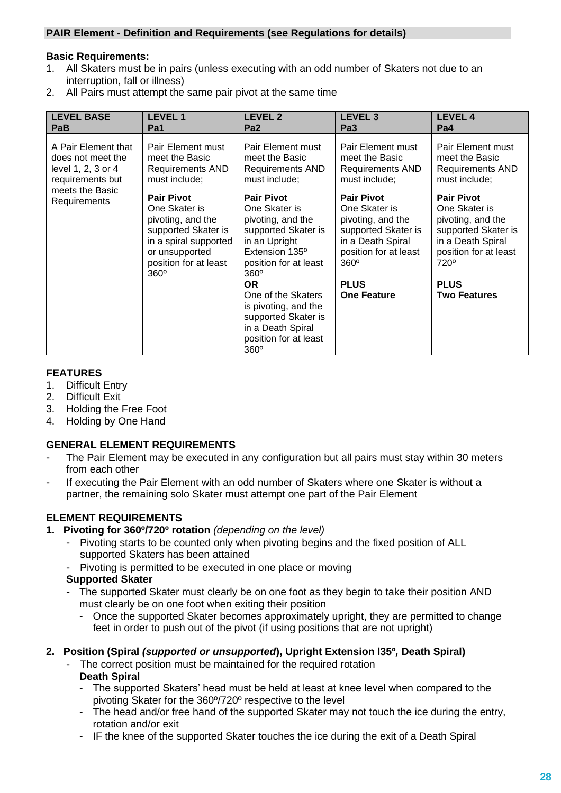#### **PAIR Element - Definition and Requirements (see Regulations for details)**

#### **Basic Requirements:**

- 1. All Skaters must be in pairs (unless executing with an odd number of Skaters not due to an interruption, fall or illness)
- 2. All Pairs must attempt the same pair pivot at the same time

| <b>LEVEL BASE</b>               | <b>LEVEL1</b>                                                                                                                                                     | <b>LEVEL 2</b>                                                                                                                                            | <b>LEVEL 3</b>                                                                                                                              | <b>LEVEL 4</b>                                                                                                                                   |
|---------------------------------|-------------------------------------------------------------------------------------------------------------------------------------------------------------------|-----------------------------------------------------------------------------------------------------------------------------------------------------------|---------------------------------------------------------------------------------------------------------------------------------------------|--------------------------------------------------------------------------------------------------------------------------------------------------|
| PaB                             | Pa1                                                                                                                                                               | Pa <sub>2</sub>                                                                                                                                           | Pa <sub>3</sub>                                                                                                                             | Pa4                                                                                                                                              |
| A Pair Element that             | Pair Element must                                                                                                                                                 | Pair Element must                                                                                                                                         | Pair Element must                                                                                                                           | Pair Element must                                                                                                                                |
| does not meet the               | meet the Basic                                                                                                                                                    | meet the Basic                                                                                                                                            | meet the Basic                                                                                                                              | meet the Basic                                                                                                                                   |
| level 1, 2, 3 or 4              | Requirements AND                                                                                                                                                  | Requirements AND                                                                                                                                          | Requirements AND                                                                                                                            | <b>Requirements AND</b>                                                                                                                          |
| requirements but                | must include;                                                                                                                                                     | must include;                                                                                                                                             | must include;                                                                                                                               | must include;                                                                                                                                    |
| meets the Basic<br>Requirements | <b>Pair Pivot</b><br>One Skater is<br>pivoting, and the<br>supported Skater is<br>in a spiral supported<br>or unsupported<br>position for at least<br>$360^\circ$ | <b>Pair Pivot</b><br>One Skater is<br>pivoting, and the<br>supported Skater is<br>in an Upright<br>Extension 135°<br>position for at least<br>$360^\circ$ | <b>Pair Pivot</b><br>One Skater is<br>pivoting, and the<br>supported Skater is<br>in a Death Spiral<br>position for at least<br>$360^\circ$ | <b>Pair Pivot</b><br>One Skater is<br>pivoting, and the<br>supported Skater is<br>in a Death Spiral<br>position for at least<br>720 <sup>°</sup> |
|                                 |                                                                                                                                                                   | <b>OR</b><br>One of the Skaters<br>is pivoting, and the<br>supported Skater is<br>in a Death Spiral<br>position for at least<br>$360^\circ$               | <b>PLUS</b><br><b>One Feature</b>                                                                                                           | <b>PLUS</b><br><b>Two Features</b>                                                                                                               |

### **FEATURES**

- 1. Difficult Entry
- 2. Difficult Exit
- 3. Holding the Free Foot
- 4. Holding by One Hand

### **GENERAL ELEMENT REQUIREMENTS**

- The Pair Element may be executed in any configuration but all pairs must stay within 30 meters from each other
- If executing the Pair Element with an odd number of Skaters where one Skater is without a partner, the remaining solo Skater must attempt one part of the Pair Element

# **ELEMENT REQUIREMENTS**

- **1. Pivoting for 360º/720º rotation** *(depending on the level)*
	- Pivoting starts to be counted only when pivoting begins and the fixed position of ALL supported Skaters has been attained
	- Pivoting is permitted to be executed in one place or moving

### **Supported Skater**

- The supported Skater must clearly be on one foot as they begin to take their position AND must clearly be on one foot when exiting their position
	- Once the supported Skater becomes approximately upright, they are permitted to change feet in order to push out of the pivot (if using positions that are not upright)

### **2. Position (Spiral** *(supported or unsupported***), Upright Extension l35º***,* **Death Spiral)**

- The correct position must be maintained for the required rotation **Death Spiral**
	- The supported Skaters' head must be held at least at knee level when compared to the pivoting Skater for the 360º/720º respective to the level
	- The head and/or free hand of the supported Skater may not touch the ice during the entry, rotation and/or exit
	- IF the knee of the supported Skater touches the ice during the exit of a Death Spiral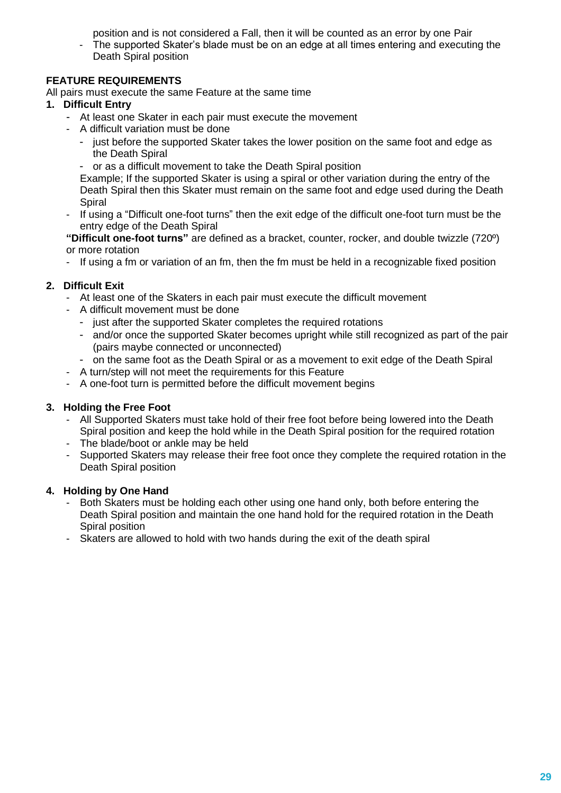position and is not considered a Fall, then it will be counted as an error by one Pair

- The supported Skater's blade must be on an edge at all times entering and executing the Death Spiral position

# **FEATURE REQUIREMENTS**

All pairs must execute the same Feature at the same time

### **1. Difficult Entry**

- At least one Skater in each pair must execute the movement
- A difficult variation must be done
	- just before the supported Skater takes the lower position on the same foot and edge as the Death Spiral
	- or as a difficult movement to take the Death Spiral position

Example; If the supported Skater is using a spiral or other variation during the entry of the Death Spiral then this Skater must remain on the same foot and edge used during the Death **Spiral** 

- If using a "Difficult one-foot turns" then the exit edge of the difficult one-foot turn must be the entry edge of the Death Spiral

**"Difficult one-foot turns"** are defined as a bracket, counter, rocker, and double twizzle (720º) or more rotation

- If using a fm or variation of an fm, then the fm must be held in a recognizable fixed position

# **2. Difficult Exit**

- At least one of the Skaters in each pair must execute the difficult movement
- A difficult movement must be done
	- just after the supported Skater completes the required rotations
	- and/or once the supported Skater becomes upright while still recognized as part of the pair (pairs maybe connected or unconnected)
	- on the same foot as the Death Spiral or as a movement to exit edge of the Death Spiral
- A turn/step will not meet the requirements for this Feature
- A one-foot turn is permitted before the difficult movement begins

### **3. Holding the Free Foot**

- All Supported Skaters must take hold of their free foot before being lowered into the Death Spiral position and keep the hold while in the Death Spiral position for the required rotation
- The blade/boot or ankle may be held
- Supported Skaters may release their free foot once they complete the required rotation in the Death Spiral position

### **4. Holding by One Hand**

- Both Skaters must be holding each other using one hand only, both before entering the Death Spiral position and maintain the one hand hold for the required rotation in the Death Spiral position
- Skaters are allowed to hold with two hands during the exit of the death spiral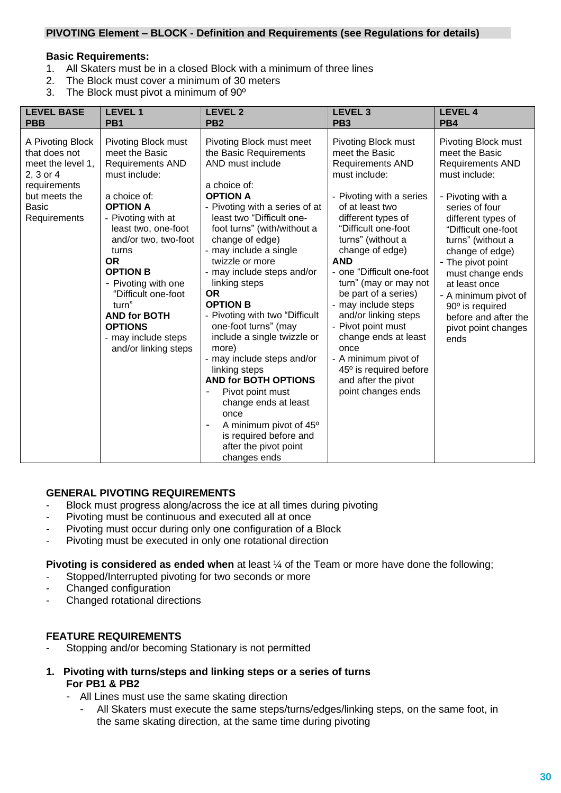#### **PIVOTING Element – BLOCK - Definition and Requirements (see Regulations for details)**

#### **Basic Requirements:**

- 1. All Skaters must be in a closed Block with a minimum of three lines<br>2. The Block must cover a minimum of 30 meters
- The Block must cover a minimum of 30 meters
- 3. The Block must pivot a minimum of 90º

| <b>LEVEL BASE</b>                                                                                                             | <b>LEVEL1</b>                                                                                                                                                                                                                                                                                                                                                                     | <b>LEVEL 2</b>                                                                                                                                                                                                                                                                                                                                                                                                                                                                                                                                                                                                                                                                     | <b>LEVEL 3</b>                                                                                                                                                                                                                                                                                                                                                                                                                                                                                                         | <b>LEVEL 4</b>                                                                                                                                                                                                                                                                                                                                                            |
|-------------------------------------------------------------------------------------------------------------------------------|-----------------------------------------------------------------------------------------------------------------------------------------------------------------------------------------------------------------------------------------------------------------------------------------------------------------------------------------------------------------------------------|------------------------------------------------------------------------------------------------------------------------------------------------------------------------------------------------------------------------------------------------------------------------------------------------------------------------------------------------------------------------------------------------------------------------------------------------------------------------------------------------------------------------------------------------------------------------------------------------------------------------------------------------------------------------------------|------------------------------------------------------------------------------------------------------------------------------------------------------------------------------------------------------------------------------------------------------------------------------------------------------------------------------------------------------------------------------------------------------------------------------------------------------------------------------------------------------------------------|---------------------------------------------------------------------------------------------------------------------------------------------------------------------------------------------------------------------------------------------------------------------------------------------------------------------------------------------------------------------------|
| <b>PBB</b>                                                                                                                    | PB <sub>1</sub>                                                                                                                                                                                                                                                                                                                                                                   | PB <sub>2</sub>                                                                                                                                                                                                                                                                                                                                                                                                                                                                                                                                                                                                                                                                    | PB <sub>3</sub>                                                                                                                                                                                                                                                                                                                                                                                                                                                                                                        | PB4                                                                                                                                                                                                                                                                                                                                                                       |
| A Pivoting Block<br>that does not<br>meet the level 1,<br>2, 3 or 4<br>requirements<br>but meets the<br>Basic<br>Requirements | Pivoting Block must<br>meet the Basic<br><b>Requirements AND</b><br>must include:<br>a choice of:<br><b>OPTION A</b><br>- Pivoting with at<br>least two, one-foot<br>and/or two, two-foot<br>turns<br><b>OR</b><br><b>OPTION B</b><br>- Pivoting with one<br>"Difficult one-foot<br>turn"<br><b>AND for BOTH</b><br><b>OPTIONS</b><br>- may include steps<br>and/or linking steps | Pivoting Block must meet<br>the Basic Requirements<br>AND must include<br>a choice of:<br><b>OPTION A</b><br>- Pivoting with a series of at<br>least two "Difficult one-<br>foot turns" (with/without a<br>change of edge)<br>- may include a single<br>twizzle or more<br>- may include steps and/or<br>linking steps<br>OR.<br><b>OPTION B</b><br>- Pivoting with two "Difficult"<br>one-foot turns" (may<br>include a single twizzle or<br>more)<br>- may include steps and/or<br>linking steps<br><b>AND for BOTH OPTIONS</b><br>Pivot point must<br>change ends at least<br>once<br>A minimum pivot of 45°<br>is required before and<br>after the pivot point<br>changes ends | Pivoting Block must<br>meet the Basic<br><b>Requirements AND</b><br>must include:<br>- Pivoting with a series<br>of at least two<br>different types of<br>"Difficult one-foot<br>turns" (without a<br>change of edge)<br><b>AND</b><br>- one "Difficult one-foot"<br>turn" (may or may not<br>be part of a series)<br>- may include steps<br>and/or linking steps<br>- Pivot point must<br>change ends at least<br>once<br>- A minimum pivot of<br>45° is required before<br>and after the pivot<br>point changes ends | Pivoting Block must<br>meet the Basic<br><b>Requirements AND</b><br>must include:<br>- Pivoting with a<br>series of four<br>different types of<br>"Difficult one-foot<br>turns" (without a<br>change of edge)<br>- The pivot point<br>must change ends<br>at least once<br>- A minimum pivot of<br>90° is required<br>before and after the<br>pivot point changes<br>ends |

#### **GENERAL PIVOTING REQUIREMENTS**

- Block must progress along/across the ice at all times during pivoting
- Pivoting must be continuous and executed all at once
- Pivoting must occur during only one configuration of a Block
- Pivoting must be executed in only one rotational direction

**Pivoting is considered as ended when** at least ¼ of the Team or more have done the following;

- Stopped/Interrupted pivoting for two seconds or more
- Changed configuration
- Changed rotational directions

#### **FEATURE REQUIREMENTS**

- Stopping and/or becoming Stationary is not permitted
- **1. Pivoting with turns/steps and linking steps or a series of turns For PB1 & PB2** 
	- All Lines must use the same skating direction
		- All Skaters must execute the same steps/turns/edges/linking steps, on the same foot, in the same skating direction, at the same time during pivoting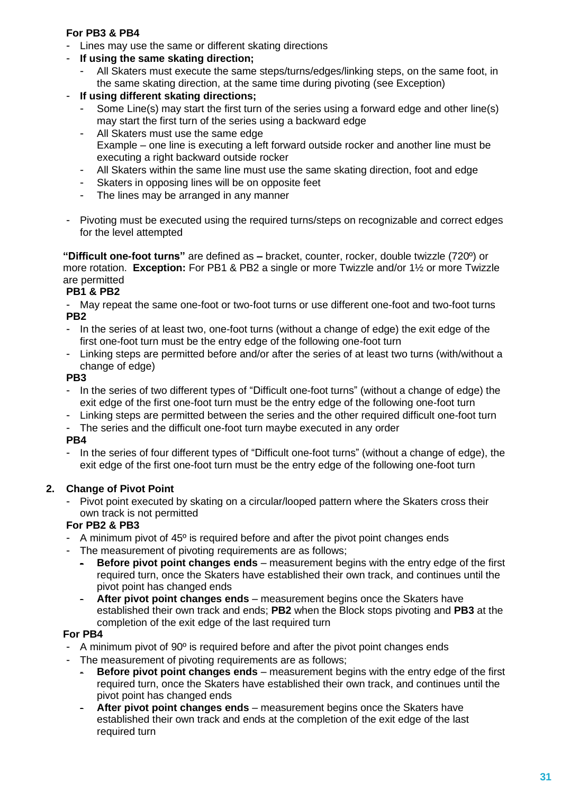### **For PB3 & PB4**

- Lines may use the same or different skating directions
- **If using the same skating direction;**
	- All Skaters must execute the same steps/turns/edges/linking steps, on the same foot, in the same skating direction, at the same time during pivoting (see Exception)
- **If using different skating directions;**
	- Some Line(s) may start the first turn of the series using a forward edge and other line(s) may start the first turn of the series using a backward edge
	- All Skaters must use the same edge Example – one line is executing a left forward outside rocker and another line must be executing a right backward outside rocker
	- All Skaters within the same line must use the same skating direction, foot and edge
	- Skaters in opposing lines will be on opposite feet
	- The lines may be arranged in any manner
- Pivoting must be executed using the required turns/steps on recognizable and correct edges for the level attempted

**"Difficult one-foot turns"** are defined as **–** bracket, counter, rocker, double twizzle (720º) or more rotation. **Exception:** For PB1 & PB2 a single or more Twizzle and/or 1½ or more Twizzle are permitted

# **PB1 & PB2**

May repeat the same one-foot or two-foot turns or use different one-foot and two-foot turns **PB2**

- In the series of at least two, one-foot turns (without a change of edge) the exit edge of the first one-foot turn must be the entry edge of the following one-foot turn
- Linking steps are permitted before and/or after the series of at least two turns (with/without a change of edge)

# **PB3**

- In the series of two different types of "Difficult one-foot turns" (without a change of edge) the exit edge of the first one-foot turn must be the entry edge of the following one-foot turn
- Linking steps are permitted between the series and the other required difficult one-foot turn
- The series and the difficult one-foot turn maybe executed in any order

# **PB4**

In the series of four different types of "Difficult one-foot turns" (without a change of edge), the exit edge of the first one-foot turn must be the entry edge of the following one-foot turn

# **2. Change of Pivot Point**

Pivot point executed by skating on a circular/looped pattern where the Skaters cross their own track is not permitted

# **For PB2 & PB3**

- A minimum pivot of 45<sup>°</sup> is required before and after the pivot point changes ends
- The measurement of pivoting requirements are as follows;
	- **Before pivot point changes ends** measurement begins with the entry edge of the first required turn, once the Skaters have established their own track, and continues until the pivot point has changed ends
	- After pivot point changes ends measurement begins once the Skaters have established their own track and ends; **PB2** when the Block stops pivoting and **PB3** at the completion of the exit edge of the last required turn

# **For PB4**

- A minimum pivot of 90<sup>°</sup> is required before and after the pivot point changes ends
- The measurement of pivoting requirements are as follows;
	- **Before pivot point changes ends** measurement begins with the entry edge of the first required turn, once the Skaters have established their own track, and continues until the pivot point has changed ends
	- After pivot point changes ends measurement begins once the Skaters have established their own track and ends at the completion of the exit edge of the last required turn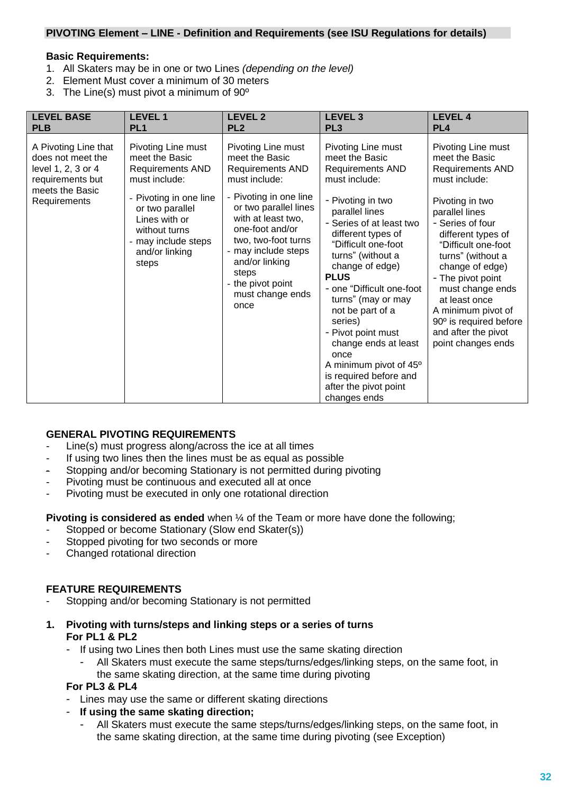#### **PIVOTING Element – LINE - Definition and Requirements (see ISU Regulations for details)**

#### **Basic Requirements:**

- 1. All Skaters may be in one or two Lines *(depending on the level)*
- 2. Element Must cover a minimum of 30 meters
- 3. The Line(s) must pivot a minimum of 90º

| <b>LEVEL BASE</b><br><b>PLB</b>                                                                                        | <b>LEVEL 1</b><br>PL <sub>1</sub>                                                                                                                                                                                 | <b>LEVEL 2</b><br>PL <sub>2</sub>                                                                                                                                                                                                                                                                      | <b>LEVEL 3</b><br>PL <sub>3</sub>                                                                                                                                                                                                                                                                                                         | <b>LEVEL 4</b><br>PL <sub>4</sub>                                                                                                                                                                                                                                                                                                 |
|------------------------------------------------------------------------------------------------------------------------|-------------------------------------------------------------------------------------------------------------------------------------------------------------------------------------------------------------------|--------------------------------------------------------------------------------------------------------------------------------------------------------------------------------------------------------------------------------------------------------------------------------------------------------|-------------------------------------------------------------------------------------------------------------------------------------------------------------------------------------------------------------------------------------------------------------------------------------------------------------------------------------------|-----------------------------------------------------------------------------------------------------------------------------------------------------------------------------------------------------------------------------------------------------------------------------------------------------------------------------------|
| A Pivoting Line that<br>does not meet the<br>level 1, 2, 3 or 4<br>requirements but<br>meets the Basic<br>Requirements | Pivoting Line must<br>meet the Basic<br><b>Requirements AND</b><br>must include:<br>- Pivoting in one line<br>or two parallel<br>Lines with or<br>without turns<br>- may include steps<br>and/or linking<br>steps | Pivoting Line must<br>meet the Basic<br><b>Requirements AND</b><br>must include:<br>- Pivoting in one line<br>or two parallel lines<br>with at least two,<br>one-foot and/or<br>two, two-foot turns<br>- may include steps<br>and/or linking<br>steps<br>- the pivot point<br>must change ends<br>once | Pivoting Line must<br>meet the Basic<br><b>Requirements AND</b><br>must include:<br>- Pivoting in two<br>parallel lines<br>- Series of at least two<br>different types of<br>"Difficult one-foot<br>turns" (without a<br>change of edge)<br><b>PLUS</b><br>- one "Difficult one-foot<br>turns" (may or may<br>not be part of a<br>series) | Pivoting Line must<br>meet the Basic<br>Requirements AND<br>must include:<br>Pivoting in two<br>parallel lines<br>- Series of four<br>different types of<br>"Difficult one-foot<br>turns" (without a<br>change of edge)<br>- The pivot point<br>must change ends<br>at least once<br>A minimum pivot of<br>90° is required before |
|                                                                                                                        |                                                                                                                                                                                                                   |                                                                                                                                                                                                                                                                                                        | - Pivot point must<br>change ends at least<br>once                                                                                                                                                                                                                                                                                        | and after the pivot<br>point changes ends                                                                                                                                                                                                                                                                                         |
|                                                                                                                        |                                                                                                                                                                                                                   |                                                                                                                                                                                                                                                                                                        | A minimum pivot of 45°                                                                                                                                                                                                                                                                                                                    |                                                                                                                                                                                                                                                                                                                                   |
|                                                                                                                        |                                                                                                                                                                                                                   |                                                                                                                                                                                                                                                                                                        | is required before and                                                                                                                                                                                                                                                                                                                    |                                                                                                                                                                                                                                                                                                                                   |
|                                                                                                                        |                                                                                                                                                                                                                   |                                                                                                                                                                                                                                                                                                        | after the pivot point<br>changes ends                                                                                                                                                                                                                                                                                                     |                                                                                                                                                                                                                                                                                                                                   |

#### **GENERAL PIVOTING REQUIREMENTS**

- Line(s) must progress along/across the ice at all times
- If using two lines then the lines must be as equal as possible
- Stopping and/or becoming Stationary is not permitted during pivoting
- Pivoting must be continuous and executed all at once
- Pivoting must be executed in only one rotational direction

**Pivoting is considered as ended** when ¼ of the Team or more have done the following;

- Stopped or become Stationary (Slow end Skater(s))
- Stopped pivoting for two seconds or more
- Changed rotational direction

#### **FEATURE REQUIREMENTS**

Stopping and/or becoming Stationary is not permitted

#### **1. Pivoting with turns/steps and linking steps or a series of turns For PL1 & PL2**

- If using two Lines then both Lines must use the same skating direction
	- All Skaters must execute the same steps/turns/edges/linking steps, on the same foot, in the same skating direction, at the same time during pivoting

#### **For PL3 & PL4**

- Lines may use the same or different skating directions
- **If using the same skating direction;**
	- All Skaters must execute the same steps/turns/edges/linking steps, on the same foot, in the same skating direction, at the same time during pivoting (see Exception)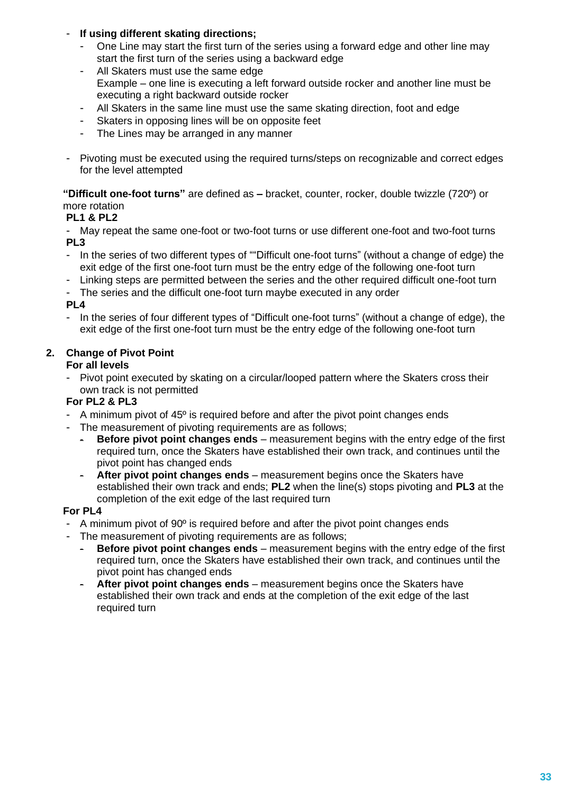### - **If using different skating directions;**

- One Line may start the first turn of the series using a forward edge and other line may start the first turn of the series using a backward edge
- All Skaters must use the same edge Example – one line is executing a left forward outside rocker and another line must be executing a right backward outside rocker
- All Skaters in the same line must use the same skating direction, foot and edge
- Skaters in opposing lines will be on opposite feet
- The Lines may be arranged in any manner
- Pivoting must be executed using the required turns/steps on recognizable and correct edges for the level attempted

**"Difficult one-foot turns"** are defined as **–** bracket, counter, rocker, double twizzle (720º) or more rotation

#### **PL1 & PL2**

- May repeat the same one-foot or two-foot turns or use different one-foot and two-foot turns **PL3**

- In the series of two different types of ""Difficult one-foot turns" (without a change of edge) the exit edge of the first one-foot turn must be the entry edge of the following one-foot turn
- Linking steps are permitted between the series and the other required difficult one-foot turn
- The series and the difficult one-foot turn maybe executed in any order

### **PL4**

- In the series of four different types of "Difficult one-foot turns" (without a change of edge), the exit edge of the first one-foot turn must be the entry edge of the following one-foot turn

# **2. Change of Pivot Point**

#### **For all levels**

- Pivot point executed by skating on a circular/looped pattern where the Skaters cross their own track is not permitted

#### **For PL2 & PL3**

- A minimum pivot of 45º is required before and after the pivot point changes ends
- The measurement of pivoting requirements are as follows;
	- **Before pivot point changes ends** measurement begins with the entry edge of the first required turn, once the Skaters have established their own track, and continues until the pivot point has changed ends
	- After pivot point changes ends measurement begins once the Skaters have established their own track and ends; **PL2** when the line(s) stops pivoting and **PL3** at the completion of the exit edge of the last required turn

### **For PL4**

- A minimum pivot of 90<sup>°</sup> is required before and after the pivot point changes ends
- The measurement of pivoting requirements are as follows;
	- **Before pivot point changes ends** measurement begins with the entry edge of the first required turn, once the Skaters have established their own track, and continues until the pivot point has changed ends
	- After pivot point changes ends measurement begins once the Skaters have established their own track and ends at the completion of the exit edge of the last required turn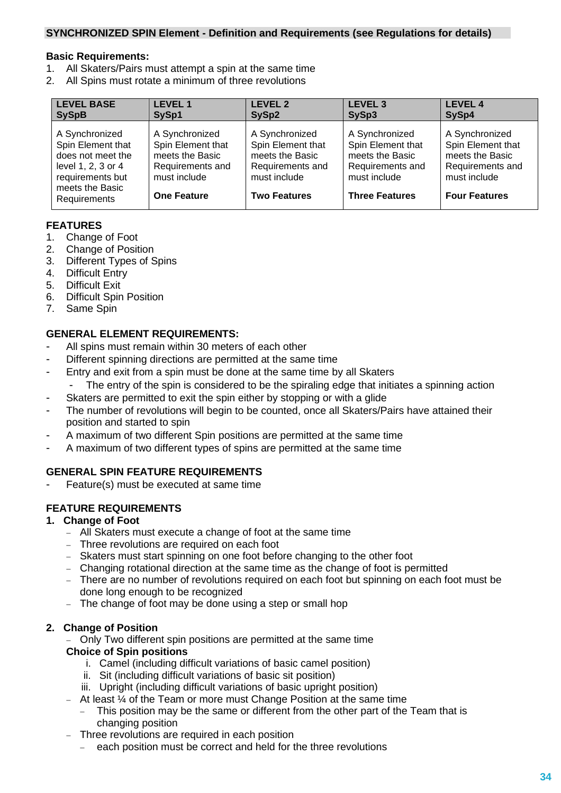#### **SYNCHRONIZED SPIN Element - Definition and Requirements (see Regulations for details)**

#### **Basic Requirements:**

- 1. All Skaters/Pairs must attempt a spin at the same time
- 2. All Spins must rotate a minimum of three revolutions

| <b>LEVEL BASE</b>                                                                                                                     | <b>LEVEL 1</b>                                                                                                   | <b>LEVEL 2</b>                                                                                                    | <b>LEVEL 3</b>                                                                                                      | <b>LEVEL 4</b>                                                                                                     |
|---------------------------------------------------------------------------------------------------------------------------------------|------------------------------------------------------------------------------------------------------------------|-------------------------------------------------------------------------------------------------------------------|---------------------------------------------------------------------------------------------------------------------|--------------------------------------------------------------------------------------------------------------------|
| <b>SySpB</b>                                                                                                                          | SySp1                                                                                                            | SySp2                                                                                                             | SySp3                                                                                                               | SySp4                                                                                                              |
| A Synchronized<br>Spin Element that<br>does not meet the<br>level 1, 2, 3 or 4<br>requirements but<br>meets the Basic<br>Requirements | A Synchronized<br>Spin Element that<br>meets the Basic<br>Requirements and<br>must include<br><b>One Feature</b> | A Synchronized<br>Spin Element that<br>meets the Basic<br>Requirements and<br>must include<br><b>Two Features</b> | A Synchronized<br>Spin Element that<br>meets the Basic<br>Requirements and<br>must include<br><b>Three Features</b> | A Synchronized<br>Spin Element that<br>meets the Basic<br>Requirements and<br>must include<br><b>Four Features</b> |

### **FEATURES**

- 1. Change of Foot
- 2. Change of Position
- 3. Different Types of Spins
- 4. Difficult Entry
- 5. Difficult Exit
- 6. Difficult Spin Position
- 7. Same Spin

#### **GENERAL ELEMENT REQUIREMENTS:**

- All spins must remain within 30 meters of each other
- Different spinning directions are permitted at the same time
- Entry and exit from a spin must be done at the same time by all Skaters
	- The entry of the spin is considered to be the spiraling edge that initiates a spinning action
- Skaters are permitted to exit the spin either by stopping or with a glide
- The number of revolutions will begin to be counted, once all Skaters/Pairs have attained their position and started to spin
- A maximum of two different Spin positions are permitted at the same time
- A maximum of two different types of spins are permitted at the same time

### **GENERAL SPIN FEATURE REQUIREMENTS**

Feature(s) must be executed at same time

### **FEATURE REQUIREMENTS**

#### **1. Change of Foot**

- − All Skaters must execute a change of foot at the same time
- − Three revolutions are required on each foot
- − Skaters must start spinning on one foot before changing to the other foot
- − Changing rotational direction at the same time as the change of foot is permitted
- − There are no number of revolutions required on each foot but spinning on each foot must be done long enough to be recognized
- − The change of foot may be done using a step or small hop

#### **2. Change of Position**

Only Two different spin positions are permitted at the same time **Choice of Spin positions**

- i. Camel (including difficult variations of basic camel position)
- ii. Sit (including difficult variations of basic sit position)
- iii. Upright (including difficult variations of basic upright position)
- − At least ¼ of the Team or more must Change Position at the same time
	- This position may be the same or different from the other part of the Team that is changing position
- − Three revolutions are required in each position
	- − each position must be correct and held for the three revolutions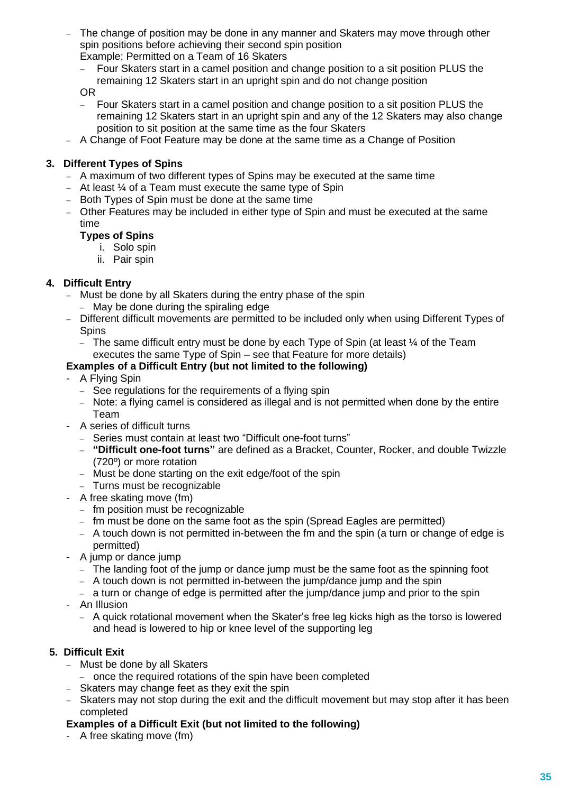- The change of position may be done in any manner and Skaters may move through other spin positions before achieving their second spin position Example; Permitted on a Team of 16 Skaters
	- − Four Skaters start in a camel position and change position to a sit position PLUS the remaining 12 Skaters start in an upright spin and do not change position

OR

- Four Skaters start in a camel position and change position to a sit position PLUS the remaining 12 Skaters start in an upright spin and any of the 12 Skaters may also change position to sit position at the same time as the four Skaters
- − A Change of Foot Feature may be done at the same time as a Change of Position

# **3. Different Types of Spins**

- − A maximum of two different types of Spins may be executed at the same time
- − At least ¼ of a Team must execute the same type of Spin
- − Both Types of Spin must be done at the same time
- − Other Features may be included in either type of Spin and must be executed at the same time

### **Types of Spins**

- i. Solo spin
- ii. Pair spin

# **4. Difficult Entry**

- − Must be done by all Skaters during the entry phase of the spin
	- − May be done during the spiraling edge
- − Different difficult movements are permitted to be included only when using Different Types of Spins
	- − The same difficult entry must be done by each Type of Spin (at least ¼ of the Team executes the same Type of Spin – see that Feature for more details)

# **Examples of a Difficult Entry (but not limited to the following)**

- A Flying Spin
- − See regulations for the requirements of a flying spin
- − Note: a flying camel is considered as illegal and is not permitted when done by the entire Team
- A series of difficult turns
	- − Series must contain at least two "Difficult one-foot turns"
	- − **"Difficult one-foot turns"** are defined as a Bracket, Counter, Rocker, and double Twizzle (720º) or more rotation
	- − Must be done starting on the exit edge/foot of the spin
	- − Turns must be recognizable
- A free skating move (fm)
	- − fm position must be recognizable
	- − fm must be done on the same foot as the spin (Spread Eagles are permitted)
	- − A touch down is not permitted in-between the fm and the spin (a turn or change of edge is permitted)
- A jump or dance jump
	- − The landing foot of the jump or dance jump must be the same foot as the spinning foot
	- − A touch down is not permitted in-between the jump/dance jump and the spin
	- − a turn or change of edge is permitted after the jump/dance jump and prior to the spin
- An Illusion
	- − A quick rotational movement when the Skater's free leg kicks high as the torso is lowered and head is lowered to hip or knee level of the supporting leg

### **5. Difficult Exit**

- − Must be done by all Skaters
	- − once the required rotations of the spin have been completed
- − Skaters may change feet as they exit the spin
- − Skaters may not stop during the exit and the difficult movement but may stop after it has been completed

### **Examples of a Difficult Exit (but not limited to the following)**

- A free skating move (fm)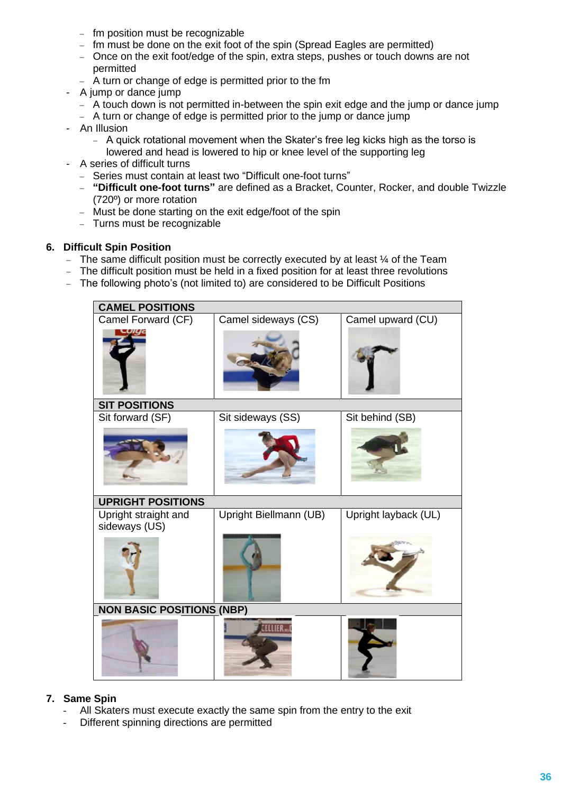- − fm position must be recognizable
- − fm must be done on the exit foot of the spin (Spread Eagles are permitted)
- − Once on the exit foot/edge of the spin, extra steps, pushes or touch downs are not permitted
- − A turn or change of edge is permitted prior to the fm
- A jump or dance jump
	- − A touch down is not permitted in-between the spin exit edge and the jump or dance jump
	- − A turn or change of edge is permitted prior to the jump or dance jump
- An Illusion
	- − A quick rotational movement when the Skater's free leg kicks high as the torso is lowered and head is lowered to hip or knee level of the supporting leg
- A series of difficult turns
	- − Series must contain at least two "Difficult one-foot turns"
	- − **"Difficult one-foot turns"** are defined as a Bracket, Counter, Rocker, and double Twizzle (720º) or more rotation
	- − Must be done starting on the exit edge/foot of the spin
	- − Turns must be recognizable

#### **6. Difficult Spin Position**

- − The same difficult position must be correctly executed by at least ¼ of the Team
- − The difficult position must be held in a fixed position for at least three revolutions
- − The following photo's (not limited to) are considered to be Difficult Positions

| <b>CAMEL POSITIONS</b>           |                        |                      |  |  |  |  |
|----------------------------------|------------------------|----------------------|--|--|--|--|
| Camel Forward (CF)               | Camel sideways (CS)    | Camel upward (CU)    |  |  |  |  |
|                                  |                        |                      |  |  |  |  |
| <b>SIT POSITIONS</b>             |                        |                      |  |  |  |  |
| Sit forward (SF)                 | Sit sideways (SS)      | Sit behind (SB)      |  |  |  |  |
|                                  |                        |                      |  |  |  |  |
| <b>UPRIGHT POSITIONS</b>         |                        |                      |  |  |  |  |
| Upright straight and             | Upright Biellmann (UB) | Upright layback (UL) |  |  |  |  |
| sideways (US)                    |                        |                      |  |  |  |  |
| <b>NON BASIC POSITIONS (NBP)</b> |                        |                      |  |  |  |  |
|                                  |                        |                      |  |  |  |  |

#### **7. Same Spin**

- All Skaters must execute exactly the same spin from the entry to the exit
- Different spinning directions are permitted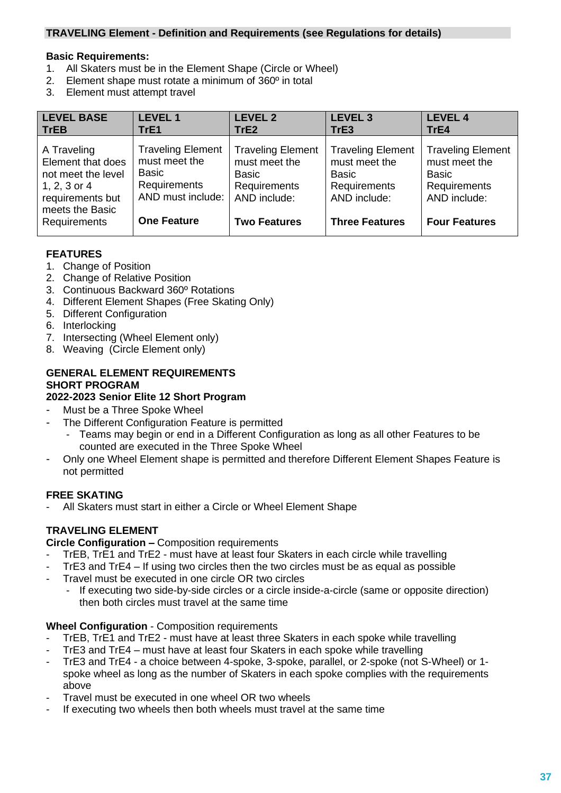#### **TRAVELING Element - Definition and Requirements (see Regulations for details)**

#### **Basic Requirements:**

- 1. All Skaters must be in the Element Shape (Circle or Wheel)
- 2. Element shape must rotate a minimum of 360º in total
- 3. Element must attempt travel

| <b>LEVEL BASE</b>                                                                                                             | <b>LEVEL 1</b>                                                                                                       | <b>LEVEL 2</b>                                                                                                   | <b>LEVEL 3</b>                                                                                                     | <b>LEVEL 4</b>                                                                                                    |
|-------------------------------------------------------------------------------------------------------------------------------|----------------------------------------------------------------------------------------------------------------------|------------------------------------------------------------------------------------------------------------------|--------------------------------------------------------------------------------------------------------------------|-------------------------------------------------------------------------------------------------------------------|
| <b>TrEB</b>                                                                                                                   | TrE1                                                                                                                 | TrE <sub>2</sub>                                                                                                 | TrE3                                                                                                               | TrE4                                                                                                              |
| A Traveling<br>Element that does<br>not meet the level<br>1, 2, 3 or 4<br>requirements but<br>meets the Basic<br>Requirements | <b>Traveling Element</b><br>must meet the<br><b>Basic</b><br>Requirements<br>AND must include:<br><b>One Feature</b> | <b>Traveling Element</b><br>must meet the<br>Basic<br><b>Requirements</b><br>AND include:<br><b>Two Features</b> | <b>Traveling Element</b><br>must meet the<br><b>Basic</b><br>Requirements<br>AND include:<br><b>Three Features</b> | <b>Traveling Element</b><br>must meet the<br><b>Basic</b><br>Requirements<br>AND include:<br><b>Four Features</b> |

# **FEATURES**

- 1. Change of Position
- 2. Change of Relative Position
- 3. Continuous Backward 360º Rotations
- 4. Different Element Shapes (Free Skating Only)
- 5. Different Configuration
- 6. Interlocking
- 7. Intersecting (Wheel Element only)
- 8. Weaving (Circle Element only)

### **GENERAL ELEMENT REQUIREMENTS SHORT PROGRAM**

### **2022-2023 Senior Elite 12 Short Program**

- Must be a Three Spoke Wheel
- The Different Configuration Feature is permitted
	- Teams may begin or end in a Different Configuration as long as all other Features to be counted are executed in the Three Spoke Wheel
- Only one Wheel Element shape is permitted and therefore Different Element Shapes Feature is not permitted

### **FREE SKATING**

All Skaters must start in either a Circle or Wheel Element Shape

# **TRAVELING ELEMENT**

**Circle Configuration –** Composition requirements

- TrEB, TrE1 and TrE2 must have at least four Skaters in each circle while travelling
- TrE3 and  $TrE4 If using two circles then the two circles must be as equal as possible$
- Travel must be executed in one circle OR two circles
	- If executing two side-by-side circles or a circle inside-a-circle (same or opposite direction) then both circles must travel at the same time

### **Wheel Configuration** - Composition requirements

- TrEB, TrE1 and TrE2 must have at least three Skaters in each spoke while travelling
- TrE3 and TrE4 must have at least four Skaters in each spoke while travelling
- TrE3 and TrE4 a choice between 4-spoke, 3-spoke, parallel, or 2-spoke (not S-Wheel) or 1 spoke wheel as long as the number of Skaters in each spoke complies with the requirements above
- Travel must be executed in one wheel OR two wheels
- If executing two wheels then both wheels must travel at the same time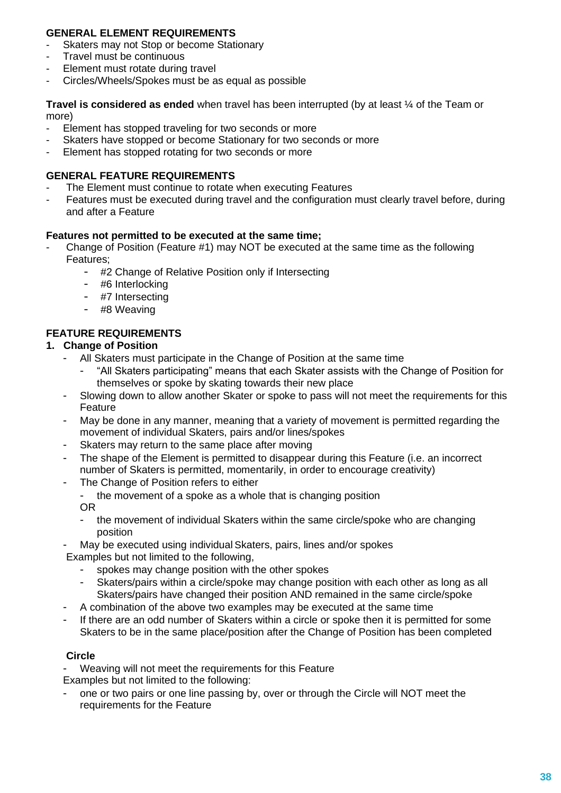### **GENERAL ELEMENT REQUIREMENTS**

- Skaters may not Stop or become Stationary
- Travel must be continuous
- Element must rotate during travel
- Circles/Wheels/Spokes must be as equal as possible

**Travel is considered as ended** when travel has been interrupted (by at least ¼ of the Team or more)

- Element has stopped traveling for two seconds or more
- Skaters have stopped or become Stationary for two seconds or more
- Element has stopped rotating for two seconds or more

### **GENERAL FEATURE REQUIREMENTS**

- The Element must continue to rotate when executing Features
- Features must be executed during travel and the configuration must clearly travel before, during and after a Feature

### **Features not permitted to be executed at the same time;**

- Change of Position (Feature #1) may NOT be executed at the same time as the following Features;
	- #2 Change of Relative Position only if Intersecting
	- #6 Interlocking
	- #7 Intersecting
	- #8 Weaving

# **FEATURE REQUIREMENTS**

#### **1. Change of Position**

- All Skaters must participate in the Change of Position at the same time
	- "All Skaters participating" means that each Skater assists with the Change of Position for themselves or spoke by skating towards their new place
- Slowing down to allow another Skater or spoke to pass will not meet the requirements for this Feature
- May be done in any manner, meaning that a variety of movement is permitted regarding the movement of individual Skaters, pairs and/or lines/spokes
- Skaters may return to the same place after moving
- The shape of the Element is permitted to disappear during this Feature (i.e. an incorrect number of Skaters is permitted, momentarily, in order to encourage creativity)
- The Change of Position refers to either

the movement of a spoke as a whole that is changing position OR

- the movement of individual Skaters within the same circle/spoke who are changing position

May be executed using individual Skaters, pairs, lines and/or spokes

Examples but not limited to the following,

- spokes may change position with the other spokes
- Skaters/pairs within a circle/spoke may change position with each other as long as all Skaters/pairs have changed their position AND remained in the same circle/spoke
- A combination of the above two examples may be executed at the same time
- If there are an odd number of Skaters within a circle or spoke then it is permitted for some Skaters to be in the same place/position after the Change of Position has been completed

### **Circle**

Weaving will not meet the requirements for this Feature

Examples but not limited to the following:

one or two pairs or one line passing by, over or through the Circle will NOT meet the requirements for the Feature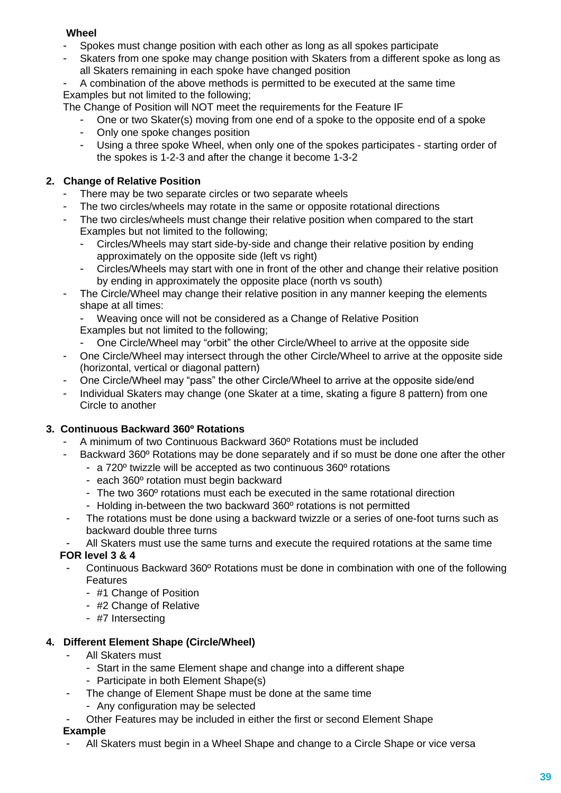### **Wheel**

- Spokes must change position with each other as long as all spokes participate
- Skaters from one spoke may change position with Skaters from a different spoke as long as all Skaters remaining in each spoke have changed position
- A combination of the above methods is permitted to be executed at the same time Examples but not limited to the following;

The Change of Position will NOT meet the requirements for the Feature IF

- One or two Skater(s) moving from one end of a spoke to the opposite end of a spoke
- Only one spoke changes position
- Using a three spoke Wheel, when only one of the spokes participates starting order of the spokes is 1-2-3 and after the change it become 1-3-2

# **2. Change of Relative Position**

- There may be two separate circles or two separate wheels
- The two circles/wheels may rotate in the same or opposite rotational directions
- The two circles/wheels must change their relative position when compared to the start Examples but not limited to the following;
	- Circles/Wheels may start side-by-side and change their relative position by ending approximately on the opposite side (left vs right)
	- Circles/Wheels may start with one in front of the other and change their relative position by ending in approximately the opposite place (north vs south)
- The Circle/Wheel may change their relative position in any manner keeping the elements shape at all times:
	- Weaving once will not be considered as a Change of Relative Position
	- Examples but not limited to the following;
	- One Circle/Wheel may "orbit" the other Circle/Wheel to arrive at the opposite side
- One Circle/Wheel may intersect through the other Circle/Wheel to arrive at the opposite side (horizontal, vertical or diagonal pattern)
- One Circle/Wheel may "pass" the other Circle/Wheel to arrive at the opposite side/end
- Individual Skaters may change (one Skater at a time, skating a figure 8 pattern) from one Circle to another

### **3. Continuous Backward 360º Rotations**

- A minimum of two Continuous Backward 360º Rotations must be included
- Backward 360<sup>°</sup> Rotations may be done separately and if so must be done one after the other
	- a 720º twizzle will be accepted as two continuous 360º rotations
	- each 360º rotation must begin backward
	- The two 360° rotations must each be executed in the same rotational direction
	- Holding in-between the two backward 360º rotations is not permitted
	- The rotations must be done using a backward twizzle or a series of one-foot turns such as backward double three turns
- All Skaters must use the same turns and execute the required rotations at the same time

### **FOR level 3 & 4**

- Continuous Backward 360º Rotations must be done in combination with one of the following Features
	- #1 Change of Position
	- #2 Change of Relative
	- #7 Intersecting

### **4. Different Element Shape (Circle/Wheel)**

- All Skaters must
	- Start in the same Element shape and change into a different shape
	- Participate in both Element Shape(s)
- The change of Element Shape must be done at the same time
	- Any configuration may be selected
- Other Features may be included in either the first or second Element Shape **Example**
- All Skaters must begin in a Wheel Shape and change to a Circle Shape or vice versa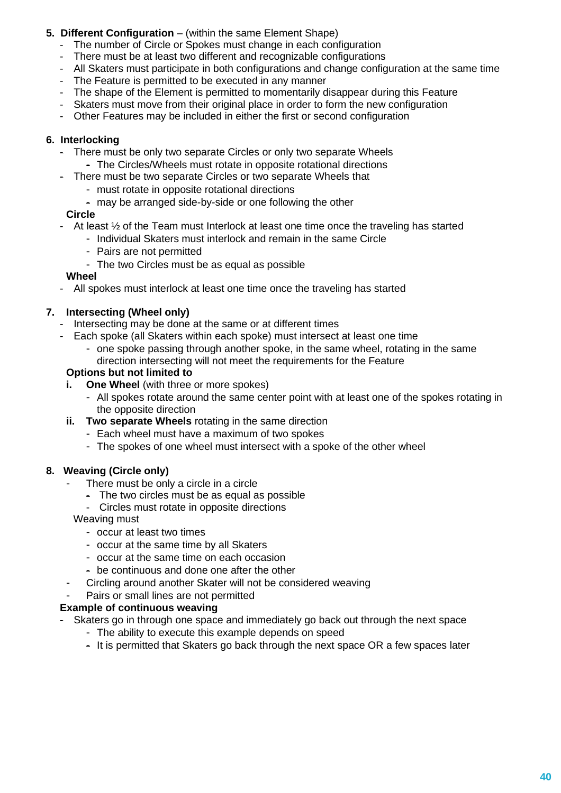# **5. Different Configuration** – (within the same Element Shape)

- The number of Circle or Spokes must change in each configuration
- There must be at least two different and recognizable configurations
- All Skaters must participate in both configurations and change configuration at the same time
- The Feature is permitted to be executed in any manner
- The shape of the Element is permitted to momentarily disappear during this Feature
- Skaters must move from their original place in order to form the new configuration
- Other Features may be included in either the first or second configuration

### **6. Interlocking**

- There must be only two separate Circles or only two separate Wheels
	- The Circles/Wheels must rotate in opposite rotational directions
- There must be two separate Circles or two separate Wheels that
	- must rotate in opposite rotational directions
	- may be arranged side-by-side or one following the other

### **Circle**

- At least  $\frac{1}{2}$  of the Team must Interlock at least one time once the traveling has started
	- Individual Skaters must interlock and remain in the same Circle
	- Pairs are not permitted
	- The two Circles must be as equal as possible

### **Wheel**

- All spokes must interlock at least one time once the traveling has started

# **7. Intersecting (Wheel only)**

- Intersecting may be done at the same or at different times
- Each spoke (all Skaters within each spoke) must intersect at least one time
	- one spoke passing through another spoke, in the same wheel, rotating in the same direction intersecting will not meet the requirements for the Feature

#### **Options but not limited to**

- **i. One Wheel** (with three or more spokes)
	- All spokes rotate around the same center point with at least one of the spokes rotating in the opposite direction
- **ii.** Two separate Wheels rotating in the same direction
	- Each wheel must have a maximum of two spokes
	- The spokes of one wheel must intersect with a spoke of the other wheel

### **8. Weaving (Circle only)**

- There must be only a circle in a circle
	- The two circles must be as equal as possible
	- Circles must rotate in opposite directions

Weaving must

- occur at least two times
- occur at the same time by all Skaters
- occur at the same time on each occasion
- be continuous and done one after the other
- Circling around another Skater will not be considered weaving
- Pairs or small lines are not permitted

### **Example of continuous weaving**

- Skaters go in through one space and immediately go back out through the next space
	- The ability to execute this example depends on speed
	- It is permitted that Skaters go back through the next space OR a few spaces later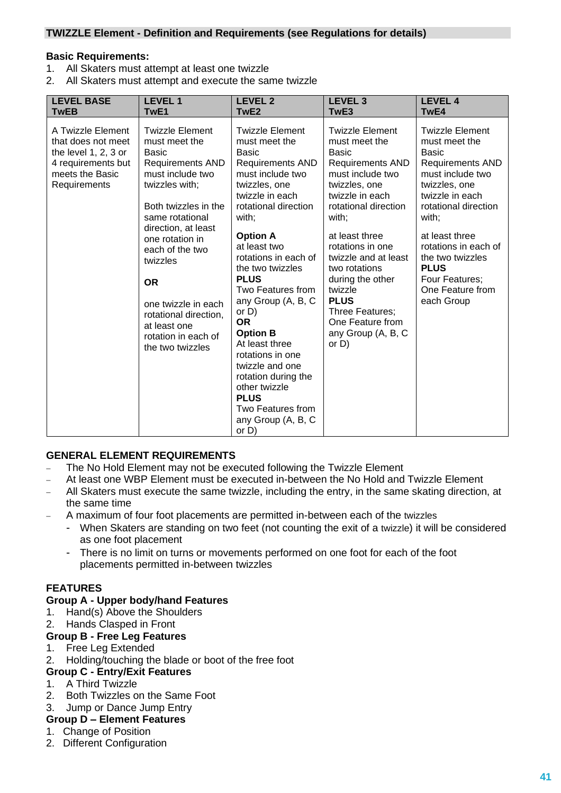#### **TWIZZLE Element - Definition and Requirements (see Regulations for details)**

#### **Basic Requirements:**

- 1. All Skaters must attempt at least one twizzle
- 2. All Skaters must attempt and execute the same twizzle

| <b>LEVEL BASE</b>                                                                                                        | <b>LEVEL1</b>                                                                                                                                                                                                                                                                                                                                                 | <b>LEVEL 2</b>                                                                                                                                                                                                                                                                                                                                                                                                                                                                                                                          | <b>LEVEL 3</b>                                                                                                                                                                                                                                                                                                                                                                    | <b>LEVEL 4</b>                                                                                                                                                                                                                                                                                               |
|--------------------------------------------------------------------------------------------------------------------------|---------------------------------------------------------------------------------------------------------------------------------------------------------------------------------------------------------------------------------------------------------------------------------------------------------------------------------------------------------------|-----------------------------------------------------------------------------------------------------------------------------------------------------------------------------------------------------------------------------------------------------------------------------------------------------------------------------------------------------------------------------------------------------------------------------------------------------------------------------------------------------------------------------------------|-----------------------------------------------------------------------------------------------------------------------------------------------------------------------------------------------------------------------------------------------------------------------------------------------------------------------------------------------------------------------------------|--------------------------------------------------------------------------------------------------------------------------------------------------------------------------------------------------------------------------------------------------------------------------------------------------------------|
| <b>TwEB</b>                                                                                                              | TwE1                                                                                                                                                                                                                                                                                                                                                          | TwE2                                                                                                                                                                                                                                                                                                                                                                                                                                                                                                                                    | TwE3                                                                                                                                                                                                                                                                                                                                                                              | TwE4                                                                                                                                                                                                                                                                                                         |
| A Twizzle Element<br>that does not meet<br>the level 1, 2, 3 or<br>4 requirements but<br>meets the Basic<br>Requirements | <b>Twizzle Element</b><br>must meet the<br>Basic<br><b>Requirements AND</b><br>must include two<br>twizzles with;<br>Both twizzles in the<br>same rotational<br>direction, at least<br>one rotation in<br>each of the two<br>twizzles<br><b>OR</b><br>one twizzle in each<br>rotational direction,<br>at least one<br>rotation in each of<br>the two twizzles | <b>Twizzle Element</b><br>must meet the<br><b>Basic</b><br><b>Requirements AND</b><br>must include two<br>twizzles, one<br>twizzle in each<br>rotational direction<br>with;<br><b>Option A</b><br>at least two<br>rotations in each of<br>the two twizzles<br><b>PLUS</b><br>Two Features from<br>any Group (A, B, C<br>or $D$ )<br><b>OR</b><br><b>Option B</b><br>At least three<br>rotations in one<br>twizzle and one<br>rotation during the<br>other twizzle<br><b>PLUS</b><br>Two Features from<br>any Group (A, B, C<br>or $D$ ) | <b>Twizzle Element</b><br>must meet the<br><b>Basic</b><br><b>Requirements AND</b><br>must include two<br>twizzles, one<br>twizzle in each<br>rotational direction<br>with;<br>at least three<br>rotations in one<br>twizzle and at least<br>two rotations<br>during the other<br>twizzle<br><b>PLUS</b><br>Three Features;<br>One Feature from<br>any Group (A, B, C<br>or $D$ ) | <b>Twizzle Element</b><br>must meet the<br><b>Basic</b><br><b>Requirements AND</b><br>must include two<br>twizzles, one<br>twizzle in each<br>rotational direction<br>with;<br>at least three<br>rotations in each of<br>the two twizzles<br><b>PLUS</b><br>Four Features;<br>One Feature from<br>each Group |

#### **GENERAL ELEMENT REQUIREMENTS**

- The No Hold Element may not be executed following the Twizzle Element
- At least one WBP Element must be executed in-between the No Hold and Twizzle Element
- − All Skaters must execute the same twizzle, including the entry, in the same skating direction, at the same time
- − A maximum of four foot placements are permitted in-between each of the twizzles
	- When Skaters are standing on two feet (not counting the exit of a twizzle) it will be considered as one foot placement
	- There is no limit on turns or movements performed on one foot for each of the foot placements permitted in-between twizzles

#### **FEATURES**

#### **Group A - Upper body/hand Features**

- 1. Hand(s) Above the Shoulders
- 2. Hands Clasped in Front

### **Group B - Free Leg Features**

- 1. Free Leg Extended
- 2. Holding/touching the blade or boot of the free foot

#### **Group C - Entry/Exit Features**

- 1. A Third Twizzle
- 2. Both Twizzles on the Same Foot
- 3. Jump or Dance Jump Entry

# **Group D – Element Features**

- 1. Change of Position
- 2. Different Configuration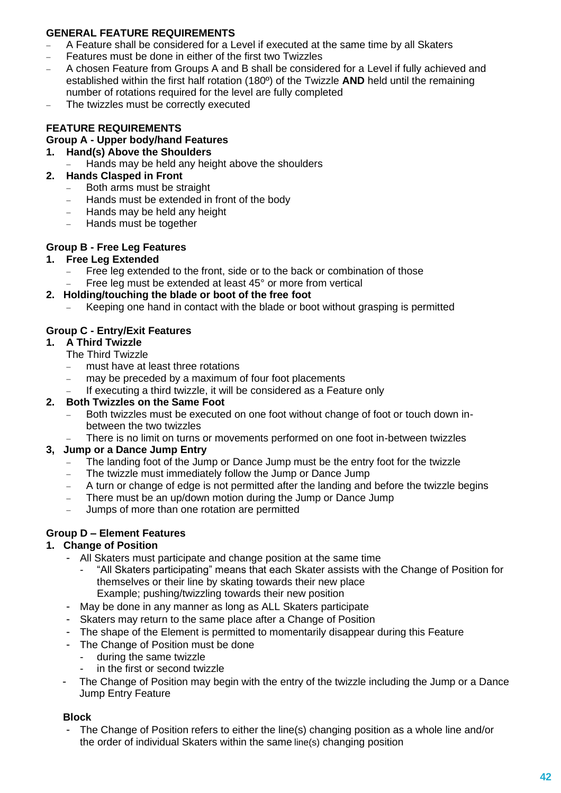### **GENERAL FEATURE REQUIREMENTS**

- − A Feature shall be considered for a Level if executed at the same time by all Skaters
- Features must be done in either of the first two Twizzles
- − A chosen Feature from Groups A and B shall be considered for a Level if fully achieved and established within the first half rotation (180º) of the Twizzle **AND** held until the remaining number of rotations required for the level are fully completed
- The twizzles must be correctly executed

# **FEATURE REQUIREMENTS**

# **Group A - Upper body/hand Features**

- **1. Hand(s) Above the Shoulders** 
	- Hands may be held any height above the shoulders
- **2. Hands Clasped in Front**
	- − Both arms must be straight
	- − Hands must be extended in front of the body
	- − Hands may be held any height
	- − Hands must be together

### **Group B - Free Leg Features**

#### **1. Free Leg Extended**

- Free leg extended to the front, side or to the back or combination of those
- Free leg must be extended at least 45° or more from vertical

#### **2. Holding/touching the blade or boot of the free foot**

Keeping one hand in contact with the blade or boot without grasping is permitted

### **Group C - Entry/Exit Features**

#### **1. A Third Twizzle**

- The Third Twizzle
- − must have at least three rotations
- may be preceded by a maximum of four foot placements
- If executing a third twizzle, it will be considered as a Feature only

### **2. Both Twizzles on the Same Foot**

- Both twizzles must be executed on one foot without change of foot or touch down inbetween the two twizzles
- There is no limit on turns or movements performed on one foot in-between twizzles

### **3, Jump or a Dance Jump Entry**

- The landing foot of the Jump or Dance Jump must be the entry foot for the twizzle
- The twizzle must immediately follow the Jump or Dance Jump
- − A turn or change of edge is not permitted after the landing and before the twizzle begins
- There must be an up/down motion during the Jump or Dance Jump
- − Jumps of more than one rotation are permitted

# **Group D – Element Features**

### **1. Change of Position**

- All Skaters must participate and change position at the same time
	- "All Skaters participating" means that each Skater assists with the Change of Position for themselves or their line by skating towards their new place Example; pushing/twizzling towards their new position
- May be done in any manner as long as ALL Skaters participate
- Skaters may return to the same place after a Change of Position
- The shape of the Element is permitted to momentarily disappear during this Feature
- The Change of Position must be done
	- during the same twizzle
	- in the first or second twizzle
- The Change of Position may begin with the entry of the twizzle including the Jump or a Dance Jump Entry Feature

### **Block**

The Change of Position refers to either the line(s) changing position as a whole line and/or the order of individual Skaters within the same line(s) changing position